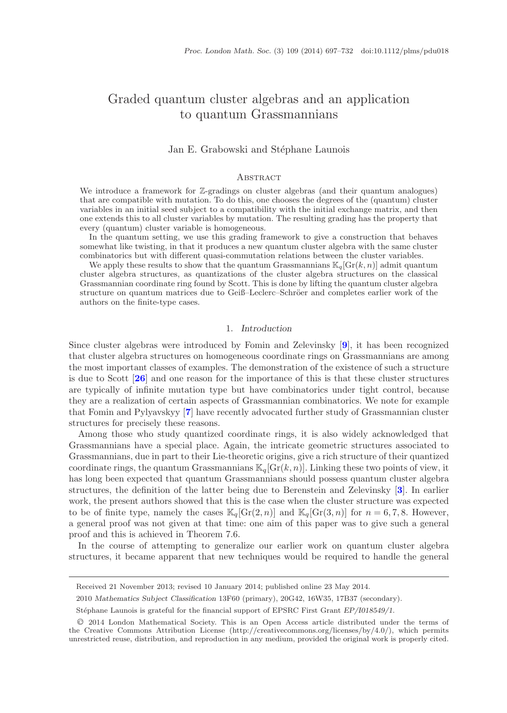# Graded quantum cluster algebras and an application to quantum Grassmannians

#### Jan E. Grabowski and Stéphane Launois

#### **ABSTRACT**

We introduce a framework for Z-gradings on cluster algebras (and their quantum analogues) that are compatible with mutation. To do this, one chooses the degrees of the (quantum) cluster variables in an initial seed subject to a compatibility with the initial exchange matrix, and then one extends this to all cluster variables by mutation. The resulting grading has the property that every (quantum) cluster variable is homogeneous.

In the quantum setting, we use this grading framework to give a construction that behaves somewhat like twisting, in that it produces a new quantum cluster algebra with the same cluster combinatorics but with different quasi-commutation relations between the cluster variables.

We apply these results to show that the quantum Grassmannians  $\mathbb{K}_q[\text{Gr}(k,n)]$  admit quantum cluster algebra structures, as quantizations of the cluster algebra structures on the classical Grassmannian coordinate ring found by Scott. This is done by lifting the quantum cluster algebra structure on quantum matrices due to Geiß–Leclerc–Schröer and completes earlier work of the authors on the finite-type cases.

#### 1. *Introduction*

Since cluster algebras were introduced by Fomin and Zelevinsky [**[9](#page-34-0)**], it has been recognized that cluster algebra structures on homogeneous coordinate rings on Grassmannians are among the most important classes of examples. The demonstration of the existence of such a structure is due to Scott [**[26](#page-35-0)**] and one reason for the importance of this is that these cluster structures are typically of infinite mutation type but have combinatorics under tight control, because they are a realization of certain aspects of Grassmannian combinatorics. We note for example that Fomin and Pylyavskyy [**[7](#page-34-1)**] have recently advocated further study of Grassmannian cluster structures for precisely these reasons.

Among those who study quantized coordinate rings, it is also widely acknowledged that Grassmannians have a special place. Again, the intricate geometric structures associated to Grassmannians, due in part to their Lie-theoretic origins, give a rich structure of their quantized coordinate rings, the quantum Grassmannians  $\mathbb{K}_q[\text{Gr}(k,n)]$ . Linking these two points of view, it has long been expected that quantum Grassmannians should possess quantum cluster algebra structures, the definition of the latter being due to Berenstein and Zelevinsky [**[3](#page-34-2)**]. In earlier work, the present authors showed that this is the case when the cluster structure was expected to be of finite type, namely the cases  $\mathbb{K}_q[\text{Gr}(2, n)]$  and  $\mathbb{K}_q[\text{Gr}(3, n)]$  for  $n = 6, 7, 8$ . However, a general proof was not given at that time: one aim of this paper was to give such a general proof and this is achieved in Theorem 7.6.

In the course of attempting to generalize our earlier work on quantum cluster algebra structures, it became apparent that new techniques would be required to handle the general

Received 21 November 2013; revised 10 January 2014; published online 23 May 2014.

<sup>2010</sup> *Mathematics Subject Classification* 13F60 (primary), 20G42, 16W35, 17B37 (secondary).

Stéphane Launois is grateful for the financial support of EPSRC First Grant  $EP/1018549/1$ .

<sup>C</sup>❡ 2014 London Mathematical Society. This is an Open Access article distributed under the terms of the Creative Commons Attribution License ([http://creativecommons.org/licenses/by/](http://creativecommons.org/licenses/by/4.0/)4.0/), which permits unrestricted reuse, distribution, and reproduction in any medium, provided the original work is properly cited.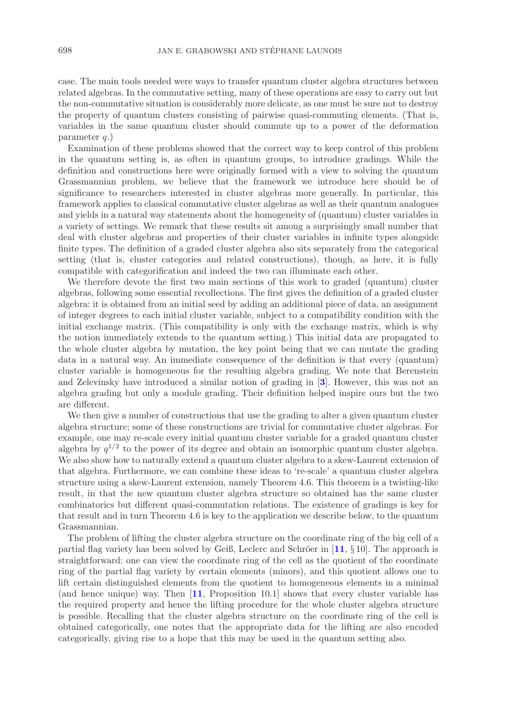case. The main tools needed were ways to transfer quantum cluster algebra structures between related algebras. In the commutative setting, many of these operations are easy to carry out but the non-commutative situation is considerably more delicate, as one must be sure not to destroy the property of quantum clusters consisting of pairwise quasi-commuting elements. (That is, variables in the same quantum cluster should commute up to a power of the deformation parameter  $q$ .)

Examination of these problems showed that the correct way to keep control of this problem in the quantum setting is, as often in quantum groups, to introduce gradings. While the definition and constructions here were originally formed with a view to solving the quantum Grassmannian problem, we believe that the framework we introduce here should be of significance to researchers interested in cluster algebras more generally. In particular, this framework applies to classical commutative cluster algebras as well as their quantum analogues and yields in a natural way statements about the homogeneity of (quantum) cluster variables in a variety of settings. We remark that these results sit among a surprisingly small number that deal with cluster algebras and properties of their cluster variables in infinite types alongside finite types. The definition of a graded cluster algebra also sits separately from the categorical setting (that is, cluster categories and related constructions), though, as here, it is fully compatible with categorification and indeed the two can illuminate each other.

We therefore devote the first two main sections of this work to graded (quantum) cluster algebras, following some essential recollections. The first gives the definition of a graded cluster algebra: it is obtained from an initial seed by adding an additional piece of data, an assignment of integer degrees to each initial cluster variable, subject to a compatibility condition with the initial exchange matrix. (This compatibility is only with the exchange matrix, which is why the notion immediately extends to the quantum setting.) This initial data are propagated to the whole cluster algebra by mutation, the key point being that we can mutate the grading data in a natural way. An immediate consequence of the definition is that every (quantum) cluster variable is homogeneous for the resulting algebra grading. We note that Berenstein and Zelevinsky have introduced a similar notion of grading in [**[3](#page-34-2)**]. However, this was not an algebra grading but only a module grading. Their definition helped inspire ours but the two are different.

We then give a number of constructions that use the grading to alter a given quantum cluster algebra structure; some of these constructions are trivial for commutative cluster algebras. For example, one may re-scale every initial quantum cluster variable for a graded quantum cluster algebra by  $q^{1/2}$  to the power of its degree and obtain an isomorphic quantum cluster algebra. We also show how to naturally extend a quantum cluster algebra to a skew-Laurent extension of that algebra. Furthermore, we can combine these ideas to 're-scale' a quantum cluster algebra structure using a skew-Laurent extension, namely Theorem 4.6. This theorem is a twisting-like result, in that the new quantum cluster algebra structure so obtained has the same cluster combinatorics but different quasi-commutation relations. The existence of gradings is key for that result and in turn Theorem 4.6 is key to the application we describe below, to the quantum Grassmannian.

The problem of lifting the cluster algebra structure on the coordinate ring of the big cell of a partial flag variety has been solved by Geiß, Leclerc and Schröer in  $[11, \S 10]$  $[11, \S 10]$  $[11, \S 10]$ . The approach is straightforward: one can view the coordinate ring of the cell as the quotient of the coordinate ring of the partial flag variety by certain elements (minors), and this quotient allows one to lift certain distinguished elements from the quotient to homogeneous elements in a minimal (and hence unique) way. Then [**[11](#page-34-3)**, Proposition 10.1] shows that every cluster variable has the required property and hence the lifting procedure for the whole cluster algebra structure is possible. Recalling that the cluster algebra structure on the coordinate ring of the cell is obtained categorically, one notes that the appropriate data for the lifting are also encoded categorically, giving rise to a hope that this may be used in the quantum setting also.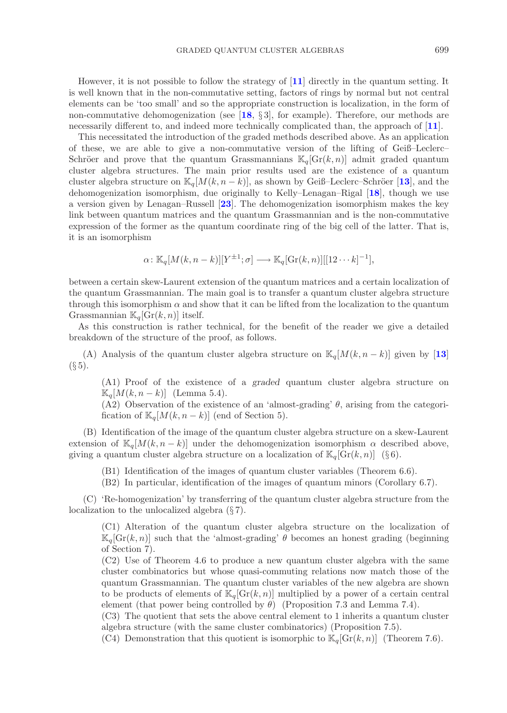However, it is not possible to follow the strategy of [**[11](#page-34-3)**] directly in the quantum setting. It is well known that in the non-commutative setting, factors of rings by normal but not central elements can be 'too small' and so the appropriate construction is localization, in the form of non-commutative dehomogenization (see [**[18](#page-34-4)**, § 3], for example). Therefore, our methods are necessarily different to, and indeed more technically complicated than, the approach of [**[11](#page-34-3)**].

This necessitated the introduction of the graded methods described above. As an application of these, we are able to give a non-commutative version of the lifting of Geiß–Leclerc– Schröer and prove that the quantum Grassmannians  $\mathbb{K}_q[\text{Gr}(k,n)]$  admit graded quantum cluster algebra structures. The main prior results used are the existence of a quantum cluster algebra structure on  $\mathbb{K}_q[M(k, n - k)]$ , as shown by Geiß–Leclerc–Schröer [[13](#page-34-5)], and the dehomogenization isomorphism, due originally to Kelly–Lenagan–Rigal [**[18](#page-34-4)**], though we use a version given by Lenagan–Russell [**[23](#page-35-1)**]. The dehomogenization isomorphism makes the key link between quantum matrices and the quantum Grassmannian and is the non-commutative expression of the former as the quantum coordinate ring of the big cell of the latter. That is, it is an isomorphism

$$
\alpha \colon \mathbb{K}_q[M(k, n-k)][Y^{\pm 1}; \sigma] \longrightarrow \mathbb{K}_q[\text{Gr}(k,n)][[12\cdots k]^{-1}],
$$

between a certain skew-Laurent extension of the quantum matrices and a certain localization of the quantum Grassmannian. The main goal is to transfer a quantum cluster algebra structure through this isomorphism  $\alpha$  and show that it can be lifted from the localization to the quantum Grassmannian  $\mathbb{K}_q[\mathrm{Gr}(k,n)]$  itself.

As this construction is rather technical, for the benefit of the reader we give a detailed breakdown of the structure of the proof, as follows.

(A) Analysis of the quantum cluster algebra structure on  $\mathbb{K}_q[M(k, n-k)]$  given by [[13](#page-34-5)]  $(\S 5).$ 

(A1) Proof of the existence of a *graded* quantum cluster algebra structure on  $\mathbb{K}_q[M(k, n-k)]$  (Lemma 5.4).

(A2) Observation of the existence of an 'almost-grading'  $\theta$ , arising from the categorification of  $\mathbb{K}_q[M(k, n-k)]$  (end of Section 5).

(B) Identification of the image of the quantum cluster algebra structure on a skew-Laurent extension of  $\mathbb{K}_q[M(k, n-k)]$  under the dehomogenization isomorphism  $\alpha$  described above, giving a quantum cluster algebra structure on a localization of  $\mathbb{K}_q[\text{Gr}(k,n)]$  (§6).

(B1) Identification of the images of quantum cluster variables (Theorem 6.6).

(B2) In particular, identification of the images of quantum minors (Corollary 6.7).

(C) 'Re-homogenization' by transferring of the quantum cluster algebra structure from the localization to the unlocalized algebra (§ 7).

(C1) Alteration of the quantum cluster algebra structure on the localization of  $\mathbb{K}_q[\text{Gr}(k,n)]$  such that the 'almost-grading'  $\theta$  becomes an honest grading (beginning of Section 7).

(C2) Use of Theorem 4.6 to produce a new quantum cluster algebra with the same cluster combinatorics but whose quasi-commuting relations now match those of the quantum Grassmannian. The quantum cluster variables of the new algebra are shown to be products of elements of  $\mathbb{K}_q[\text{Gr}(k,n)]$  multiplied by a power of a certain central element (that power being controlled by  $\theta$ ) (Proposition 7.3 and Lemma 7.4).

(C3) The quotient that sets the above central element to 1 inherits a quantum cluster algebra structure (with the same cluster combinatorics) (Proposition 7.5).

(C4) Demonstration that this quotient is isomorphic to  $\mathbb{K}_q[\text{Gr}(k, n)]$  (Theorem 7.6).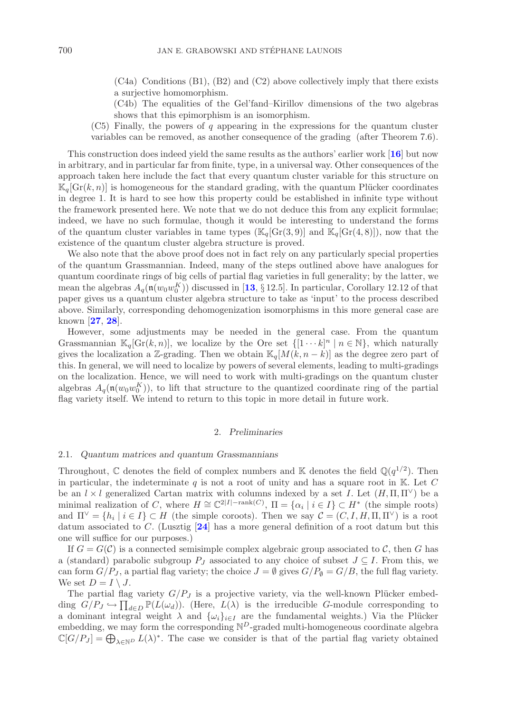(C4a) Conditions (B1), (B2) and (C2) above collectively imply that there exists a surjective homomorphism.

(C4b) The equalities of the Gel'fand–Kirillov dimensions of the two algebras shows that this epimorphism is an isomorphism.

 $(C5)$  Finally, the powers of q appearing in the expressions for the quantum cluster variables can be removed, as another consequence of the grading (after Theorem 7.6).

This construction does indeed yield the same results as the authors' earlier work [**[16](#page-34-6)**] but now in arbitrary, and in particular far from finite, type, in a universal way. Other consequences of the approach taken here include the fact that every quantum cluster variable for this structure on  $\mathbb{K}_q[\text{Gr}(k,n)]$  is homogeneous for the standard grading, with the quantum Plücker coordinates in degree 1. It is hard to see how this property could be established in infinite type without the framework presented here. We note that we do not deduce this from any explicit formulae; indeed, we have no such formulae, though it would be interesting to understand the forms of the quantum cluster variables in tame types  $(\mathbb{K}_q[\text{Gr}(3,9)]$  and  $\mathbb{K}_q[\text{Gr}(4,8)]$ , now that the existence of the quantum cluster algebra structure is proved.

We also note that the above proof does not in fact rely on any particularly special properties of the quantum Grassmannian. Indeed, many of the steps outlined above have analogues for quantum coordinate rings of big cells of partial flag varieties in full generality; by the latter, we mean the algebras  $A_q(\mathfrak{n}(w_0w_0^K))$  discussed in [[13](#page-34-5), § 12.5]. In particular, Corollary 12.12 of that paper gives us a quantum cluster algebra structure to take as 'input' to the process described above. Similarly, corresponding dehomogenization isomorphisms in this more general case are known [**[27](#page-35-2)**, **[28](#page-35-3)**].

However, some adjustments may be needed in the general case. From the quantum Grassmannian  $\mathbb{K}_q[\text{Gr}(k,n)]$ , we localize by the Ore set  $\{[1\cdots k]^n \mid n \in \mathbb{N}\}$ , which naturally gives the localization a Z-grading. Then we obtain  $\mathbb{K}_q[M(k, n-k)]$  as the degree zero part of this. In general, we will need to localize by powers of several elements, leading to multi-gradings on the localization. Hence, we will need to work with multi-gradings on the quantum cluster algebras  $A_q(\mathfrak{n}(w_0w_0^K))$ , to lift that structure to the quantized coordinate ring of the partial<br>flag variety itself. We intend to return to this tonic in more detail in future work flag variety itself. We intend to return to this topic in more detail in future work.

#### 2. *Preliminaries*

#### 2.1. *Quantum matrices and quantum Grassmannians*

Throughout, C denotes the field of complex numbers and K denotes the field  $\mathbb{Q}(q^{1/2})$ . Then in particular, the indeterminate q is not a root of unity and has a square root in K. Let C be an  $l \times l$  generalized Cartan matrix with columns indexed by a set I. Let  $(H, \Pi, \Pi^{\vee})$  be a minimal realization of C, where  $H \cong \mathbb{C}^{2|I|-\text{rank}(C)}$ ,  $\Pi = {\alpha_i | i \in I} \subset H^*$  (the simple roots) and  $\Pi^{\vee} = \{h_i \mid i \in I\} \subset H$  (the simple coroots). Then we say  $\mathcal{C} = (C, I, H, \Pi, \Pi^{\vee})$  is a root datum associated to C. (Lusztig [**[24](#page-35-4)**] has a more general definition of a root datum but this one will suffice for our purposes.)

If  $G = G(\mathcal{C})$  is a connected semisimple complex algebraic group associated to  $\mathcal{C}$ , then G has a (standard) parabolic subgroup  $P_J$  associated to any choice of subset  $J \subseteq I$ . From this, we can form  $G/P_J$ , a partial flag variety; the choice  $J = \emptyset$  gives  $G/P_{\emptyset} = G/B$ , the full flag variety. We set  $D = I \setminus J$ .

The partial flag variety  $G/P_J$  is a projective variety, via the well-known Plücker embedding  $G/P_J \hookrightarrow \prod_{d \in D} \mathbb{P}(L(\omega_d))$ . (Here,  $L(\lambda)$  is the irreducible G-module corresponding to a dominant integral weight  $\lambda$  and  $\{\omega_i\}_{i\in I}$  are the fundamental weights.) Via the Plücker embedding, we may form the corresponding  $\mathbb{N}^D$ -graded multi-homogeneous coordinate algebra  $\mathbb{C}[G/P_J] = \bigoplus_{\lambda \in \mathbb{N}^D} L(\lambda)^*$ . The case we consider is that of the partial flag variety obtained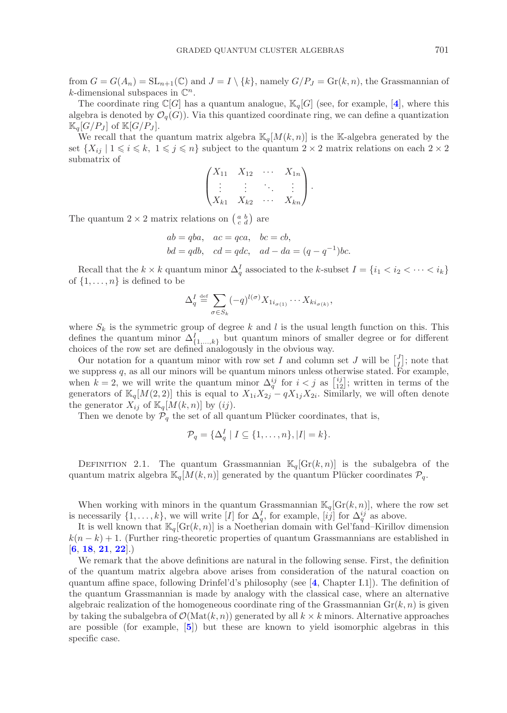from  $G = G(A_n) = SL_{n+1}(\mathbb{C})$  and  $J = I \setminus \{k\}$ , namely  $G/P_J = Gr(k, n)$ , the Grassmannian of k-dimensional subspaces in  $\mathbb{C}^n$ .

The coordinate ring  $\mathbb{C}[G]$  has a quantum analogue,  $\mathbb{K}_q[G]$  (see, for example, [[4](#page-34-7)], where this algebra is denoted by  $\mathcal{O}_q(G)$ ). Via this quantized coordinate ring, we can define a quantization  $\mathbb{K}_q[G/P_J]$  of  $\mathbb{K}[G/P_J]$ .

We recall that the quantum matrix algebra  $\mathbb{K}_q[M(k,n)]$  is the K-algebra generated by the set  $\{X_{ij} \mid 1 \leq i \leq k, 1 \leq j \leq n\}$  subject to the quantum  $2 \times 2$  matrix relations on each  $2 \times 2$ submatrix of

$$
\begin{pmatrix} X_{11} & X_{12} & \cdots & X_{1n} \\ \vdots & \vdots & \ddots & \vdots \\ X_{k1} & X_{k2} & \cdots & X_{kn} \end{pmatrix}.
$$

The quantum  $2 \times 2$  matrix relations on  $\begin{pmatrix} a & b \\ c & d \end{pmatrix}$  are

$$
ab = qba
$$
,  $ac = qca$ ,  $bc = cb$ ,  
 $bd = qdb$ ,  $cd = qdc$ ,  $ad - da = (q - q^{-1})bc$ .

Recall that the  $k \times k$  quantum minor  $\Delta_q^I$  associated to the k-subset  $I = \{i_1 < i_2 < \cdots < i_k\}$ of  $\{1,\ldots,n\}$  is defined to be

$$
\Delta_q^I \stackrel{\text{def}}{=} \sum_{\sigma \in S_k} (-q)^{l(\sigma)} X_{1i_{\sigma(1)}} \cdots X_{ki_{\sigma(k)}},
$$

where  $S_k$  is the symmetric group of degree k and l is the usual length function on this. This defines the quantum minor  $\Delta^I_{\{1,\ldots,k\}}$  but quantum minors of smaller degree or for different choices of the row set are defined analogously in the obvious way.

Our notation for a quantum minor with row set I and column set J will be  $\begin{bmatrix} J \\ I \end{bmatrix}$ ; note that we suppress  $q$ , as all our minors will be quantum minors unless otherwise stated. For example, when  $k = 2$ , we will write the quantum minor  $\Delta_q^{ij}$  for  $i < j$  as  $\begin{bmatrix} ij \\ 12 \end{bmatrix}$ ; written in terms of the generators of  $\mathbb{K}_q[M(2,2)]$  this is equal to  $X_{1i}X_{2j} - qX_{1j}X_{2i}$ . Similarly, we will often denote the generator  $X_{ij}$  of  $\mathbb{K}_q[M(k,n)]$  by  $(ij)$ .

Then we denote by  $\mathcal{P}_q$  the set of all quantum Plücker coordinates, that is,

$$
\mathcal{P}_q = {\Delta_q^I \mid I \subseteq \{1, \ldots, n\}, |I| = k}.
$$

DEFINITION 2.1. The quantum Grassmannian  $\mathbb{K}_q[\text{Gr}(k,n)]$  is the subalgebra of the quantum matrix algebra  $\mathbb{K}_q[M(k,n)]$  generated by the quantum Plücker coordinates  $\mathcal{P}_q$ .

When working with minors in the quantum Grassmannian  $\mathbb{K}_q[\text{Gr}(k,n)]$ , where the row set is necessarily  $\{1,\ldots,k\}$ , we will write [I] for  $\Delta_q^I$ , for example,  $[ij]$  for  $\Delta_q^{ij}$  as above.

It is well known that  $\mathbb{K}_q[\text{Gr}(k, n)]$  is a Noetherian domain with Gel'fand–Kirillov dimension  $k(n - k) + 1$ . (Further ring-theoretic properties of quantum Grassmannians are established in [**[6](#page-34-8)**, **[18](#page-34-4)**, **[21](#page-35-5)**, **[22](#page-35-6)**].)

We remark that the above definitions are natural in the following sense. First, the definition of the quantum matrix algebra above arises from consideration of the natural coaction on quantum affine space, following Drinfel'd's philosophy (see [**[4](#page-34-7)**, Chapter I.1]). The definition of the quantum Grassmannian is made by analogy with the classical case, where an alternative algebraic realization of the homogeneous coordinate ring of the Grassmannian  $Gr(k, n)$  is given by taking the subalgebra of  $\mathcal{O}(\text{Mat}(k,n))$  generated by all  $k \times k$  minors. Alternative approaches are possible (for example, [**[5](#page-34-9)**]) but these are known to yield isomorphic algebras in this specific case.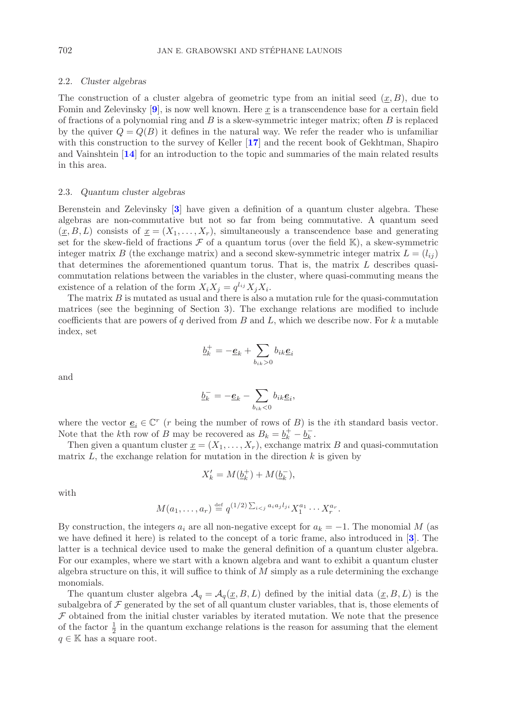# 2.2. *Cluster algebras*

The construction of a cluster algebra of geometric type from an initial seed  $(x, B)$ , due to Fomin and Zelevinsky  $[9]$  $[9]$  $[9]$ , is now well known. Here x is a transcendence base for a certain field of fractions of a polynomial ring and  $B$  is a skew-symmetric integer matrix; often  $B$  is replaced by the quiver  $Q = Q(B)$  it defines in the natural way. We refer the reader who is unfamiliar with this construction to the survey of Keller [**[17](#page-34-10)**] and the recent book of Gekhtman, Shapiro and Vainshtein [**[14](#page-34-11)**] for an introduction to the topic and summaries of the main related results in this area.

#### 2.3. *Quantum cluster algebras*

Berenstein and Zelevinsky [**[3](#page-34-2)**] have given a definition of a quantum cluster algebra. These algebras are non-commutative but not so far from being commutative. A quantum seed  $(x, B, L)$  consists of  $x = (X_1, \ldots, X_r)$ , simultaneously a transcendence base and generating set for the skew-field of fractions  $\mathcal F$  of a quantum torus (over the field K), a skew-symmetric integer matrix B (the exchange matrix) and a second skew-symmetric integer matrix  $L = (l_{ij})$ that determines the aforementioned quantum torus. That is, the matrix  $L$  describes quasicommutation relations between the variables in the cluster, where quasi-commuting means the existence of a relation of the form  $X_i X_j = q^{l_{ij}} X_j X_i$ .

The matrix  $B$  is mutated as usual and there is also a mutation rule for the quasi-commutation matrices (see the beginning of Section 3). The exchange relations are modified to include coefficients that are powers of q derived from  $B$  and  $L$ , which we describe now. For k a mutable index, set

$$
\underline{b}_k^+ = -\underline{\boldsymbol{e}}_k + \sum_{b_{ik}>0} b_{ik} \underline{\boldsymbol{e}}_i
$$

and

$$
\underline{b}_k^- = -\underline{\boldsymbol{e}}_k - \sum_{b_{ik}<0} b_{ik} \underline{\boldsymbol{e}}_i,
$$

where the vector  $\underline{e}_i \in \mathbb{C}^r$  (*r* being the number of rows of *B*) is the *i*th standard basis vector. Note that the kth row of B may be recovered as  $B_k = \underline{b}_k^+ - \underline{b}_k^-$ .

Then given a quantum cluster  $\underline{x} = (X_1, \ldots, X_r)$ , exchange matrix B and quasi-commutation matrix  $L$ , the exchange relation for mutation in the direction  $k$  is given by

$$
X'_k = M(\underline{b}_k^+) + M(\underline{b}_k^-),
$$

with

$$
M(a_1, \ldots, a_r) \stackrel{\text{def}}{=} q^{(1/2) \sum_{i < j} a_i a_j l_{ji}} X_1^{a_1} \cdots X_r^{a_r}.
$$

By construction, the integers  $a_i$  are all non-negative except for  $a_k = -1$ . The monomial M (as we have defined it here) is related to the concept of a toric frame, also introduced in [**[3](#page-34-2)**]. The latter is a technical device used to make the general definition of a quantum cluster algebra. For our examples, where we start with a known algebra and want to exhibit a quantum cluster algebra structure on this, it will suffice to think of  $M$  simply as a rule determining the exchange monomials.

The quantum cluster algebra  $\mathcal{A}_q = \mathcal{A}_q(\underline{x},B,L)$  defined by the initial data  $(\underline{x},B,L)$  is the subalgebra of  $\mathcal F$  generated by the set of all quantum cluster variables, that is, those elements of  $F$  obtained from the initial cluster variables by iterated mutation. We note that the presence of the factor  $\frac{1}{2}$  in the quantum exchange relations is the reason for assuming that the element  $q \in \mathbb{K}$  has a square root.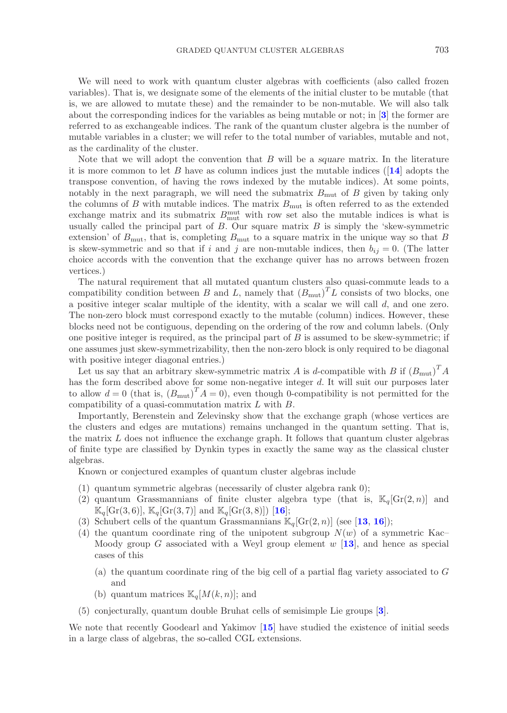We will need to work with quantum cluster algebras with coefficients (also called frozen variables). That is, we designate some of the elements of the initial cluster to be mutable (that is, we are allowed to mutate these) and the remainder to be non-mutable. We will also talk about the corresponding indices for the variables as being mutable or not; in [**[3](#page-34-2)**] the former are referred to as exchangeable indices. The rank of the quantum cluster algebra is the number of mutable variables in a cluster; we will refer to the total number of variables, mutable and not, as the cardinality of the cluster.

Note that we will adopt the convention that B will be a *square* matrix. In the literature it is more common to let B have as column indices just the mutable indices ([**[14](#page-34-11)**] adopts the transpose convention, of having the rows indexed by the mutable indices). At some points, notably in the next paragraph, we will need the submatrix  $B_{\text{mut}}$  of B given by taking only the columns of  $B$  with mutable indices. The matrix  $B_{\text{mut}}$  is often referred to as the extended exchange matrix and its submatrix  $B_{\text{mut}}^{\text{mut}}$  with row set also the mutable indices is what is usually called the principal part of  $B$ . Our square matrix  $B$  is simply the 'skew-symmetric extension' of  $B_{\text{mut}}$ , that is, completing  $B_{\text{mut}}$  to a square matrix in the unique way so that B is skew-symmetric and so that if i and j are non-mutable indices, then  $b_{ij} = 0$ . (The latter choice accords with the convention that the exchange quiver has no arrows between frozen vertices.)

The natural requirement that all mutated quantum clusters also quasi-commute leads to a compatibility condition between B and L, namely that  $(B_{\text{mut}})^T L$  consists of two blocks, one a positive integer scalar multiple of the identity, with a scalar we will call d, and one zero. The non-zero block must correspond exactly to the mutable (column) indices. However, these blocks need not be contiguous, depending on the ordering of the row and column labels. (Only one positive integer is required, as the principal part of  $B$  is assumed to be skew-symmetric; if one assumes just skew-symmetrizability, then the non-zero block is only required to be diagonal with positive integer diagonal entries.)

Let us say that an arbitrary skew-symmetric matrix A is d-compatible with B if  $(B_{\text{mut}})^T A$ has the form described above for some non-negative integer d. It will suit our purposes later to allow  $d = 0$  (that is,  $(B_{\text{mut}})^T A = 0$ ), even though 0-compatibility is not permitted for the compatibility of a quasi-commutation matrix L with B.

Importantly, Berenstein and Zelevinsky show that the exchange graph (whose vertices are the clusters and edges are mutations) remains unchanged in the quantum setting. That is, the matrix  $L$  does not influence the exchange graph. It follows that quantum cluster algebras of finite type are classified by Dynkin types in exactly the same way as the classical cluster algebras.

Known or conjectured examples of quantum cluster algebras include

- (1) quantum symmetric algebras (necessarily of cluster algebra rank 0);
- (2) quantum Grassmannians of finite cluster algebra type (that is,  $\mathbb{K}_q[\text{Gr}(2,n)]$  and  $\mathbb{K}_q[\text{Gr}(3,6)], \mathbb{K}_q[\text{Gr}(3,7)]$  and  $\mathbb{K}_q[\text{Gr}(3,8)])$  [[16](#page-34-6)];
- (3) Schubert cells of the quantum Grassmannians  $\mathbb{K}_q[\text{Gr}(2, n)]$  (see [[13](#page-34-5), [16](#page-34-6)]);
- (4) the quantum coordinate ring of the unipotent subgroup  $N(w)$  of a symmetric Kac– Moody group G associated with a Weyl group element w [**[13](#page-34-5)**], and hence as special cases of this
	- (a) the quantum coordinate ring of the big cell of a partial flag variety associated to G and
	- (b) quantum matrices  $\mathbb{K}_q[M(k,n)]$ ; and
- (5) conjecturally, quantum double Bruhat cells of semisimple Lie groups [**[3](#page-34-2)**].

We note that recently Goodearl and Yakimov [**[15](#page-34-12)**] have studied the existence of initial seeds in a large class of algebras, the so-called CGL extensions.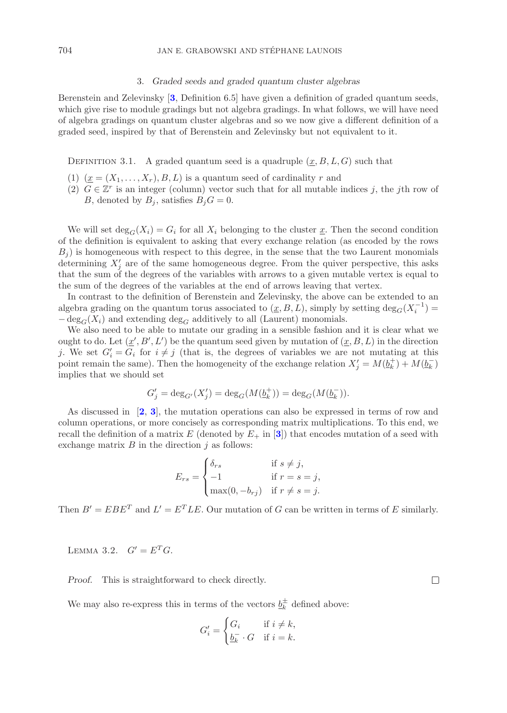#### 3. *Graded seeds and graded quantum cluster algebras*

Berenstein and Zelevinsky [**[3](#page-34-2)**, Definition 6.5] have given a definition of graded quantum seeds, which give rise to module gradings but not algebra gradings. In what follows, we will have need of algebra gradings on quantum cluster algebras and so we now give a different definition of a graded seed, inspired by that of Berenstein and Zelevinsky but not equivalent to it.

DEFINITION 3.1. A graded quantum seed is a quadruple  $(x, B, L, G)$  such that

- (1)  $(\underline{x} = (X_1, \ldots, X_r), B, L)$  is a quantum seed of cardinality r and
- (2)  $G \in \mathbb{Z}^r$  is an integer (column) vector such that for all mutable indices j, the jth row of B, denoted by  $B_i$ , satisfies  $B_iG = 0$ .

We will set  $\deg_G(X_i) = G_i$  for all  $X_i$  belonging to the cluster x. Then the second condition of the definition is equivalent to asking that every exchange relation (as encoded by the rows  $B_i$ ) is homogeneous with respect to this degree, in the sense that the two Laurent monomials determining  $X_i'$  are of the same homogeneous degree. From the quiver perspective, this asks that the sum of the degrees of the variables with arrows to a given mutable vertex is equal to the sum of the degrees of the variables at the end of arrows leaving that vertex.

In contrast to the definition of Berenstein and Zelevinsky, the above can be extended to an algebra grading on the quantum torus associated to  $(\underline{x}, B, L)$ , simply by setting  $\deg_G(X_i^{-1}) =$  $-\deg_G(X_i)$  and extending  $\deg_G$  additively to all (Laurent) monomials.

We also need to be able to mutate our grading in a sensible fashion and it is clear what we ought to do. Let  $(\underline{x}', B', L')$  be the quantum seed given by mutation of  $(\underline{x}, B, L)$  in the direction j. We set  $G_i' = G_i$  for  $i \neq j$  (that is, the degrees of variables we are not mutating at this point remain the same). Then the homogeneity of the exchange relation  $X'_i = M(\underline{b}_k^+) + M(\underline{b}_k^-)$ implies that we should set

$$
G'_{j} = \deg_{G'}(X'_{j}) = \deg_{G}(M(\underline{b}_{k}^{+})) = \deg_{G}(M(\underline{b}_{k}^{-})).
$$

As discussed in [**[2](#page-34-13)**, **[3](#page-34-2)**], the mutation operations can also be expressed in terms of row and column operations, or more concisely as corresponding matrix multiplications. To this end, we recall the definition of a matrix  $E$  (denoted by  $E_+$  in [[3](#page-34-2)]) that encodes mutation of a seed with exchange matrix  $B$  in the direction  $j$  as follows:

$$
E_{rs} = \begin{cases} \delta_{rs} & \text{if } s \neq j, \\ -1 & \text{if } r = s = j, \\ \max(0, -b_{rj}) & \text{if } r \neq s = j. \end{cases}
$$

Then  $B' = EBE^{T}$  and  $L' = E^{T}LE$ . Our mutation of G can be written in terms of E similarly.

LEMMA 3.2.  $G' = E^T G$ .

*Proof.* This is straightforward to check directly.

 $\Box$ 

We may also re-express this in terms of the vectors  $b_k^{\pm}$  defined above:

$$
G'_{i} = \begin{cases} G_{i} & \text{if } i \neq k, \\ \underline{b_{k}^{-}} \cdot G & \text{if } i = k. \end{cases}
$$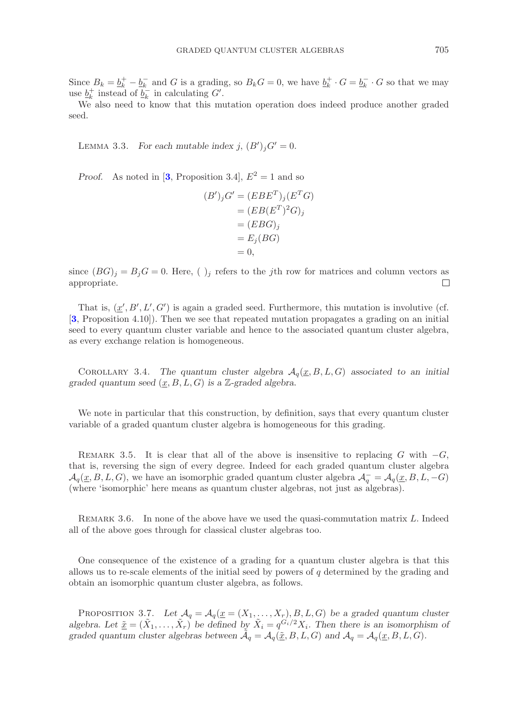Since  $B_k = \underline{b}_k^+ - \underline{b}_k^-$  and G is a grading, so  $B_k G = 0$ , we have  $\underline{b}_k^+ \cdot G = \underline{b}_k^- \cdot G$  so that we may use  $\underline{b}_k^+$  instead of  $\underline{b}_k^-$  in calculating  $G'$ .

We also need to know that this mutation operation does indeed produce another graded seed.

LEMMA 3.3. *For each mutable index j*,  $(B')_j G' = 0$ *.* 

*Proof.* As noted in [[3](#page-34-2), Proposition 3.4],  $E^2 = 1$  and so

$$
(B')_j G' = (EBE^T)_j (E^TG)
$$
  
= 
$$
(EB(E^T)^2 G)_j
$$
  
= 
$$
(EBG)_j
$$
  
= 
$$
E_j(BG)
$$
  
= 0,

since  $(BG)_j = B_jG = 0$ . Here, ( )<sub>j</sub> refers to the jth row for matrices and column vectors as appropriate.  $\Box$ 

That is,  $(\underline{x}', B', L', G')$  is again a graded seed. Furthermore, this mutation is involutive (cf. [**[3](#page-34-2)**, Proposition 4.10]). Then we see that repeated mutation propagates a grading on an initial seed to every quantum cluster variable and hence to the associated quantum cluster algebra, as every exchange relation is homogeneous.

COROLLARY 3.4. The quantum cluster algebra  $A_q(x, B, L, G)$  associated to an initial *graded quantum seed* (x, B, L, G) *is a* Z*-graded algebra.*

We note in particular that this construction, by definition, says that every quantum cluster variable of a graded quantum cluster algebra is homogeneous for this grading.

REMARK 3.5. It is clear that all of the above is insensitive to replacing G with  $-G$ , that is, reversing the sign of every degree. Indeed for each graded quantum cluster algebra  $\mathcal{A}_q(\underline{x}, B, L, G)$ , we have an isomorphic graded quantum cluster algebra  $\mathcal{A}_q^- = \mathcal{A}_q(\underline{x}, B, L, -G)$ (where 'isomorphic' here means as quantum cluster algebras, not just as algebras).

REMARK 3.6. In none of the above have we used the quasi-commutation matrix L. Indeed all of the above goes through for classical cluster algebras too.

One consequence of the existence of a grading for a quantum cluster algebra is that this allows us to re-scale elements of the initial seed by powers of  $q$  determined by the grading and obtain an isomorphic quantum cluster algebra, as follows.

PROPOSITION 3.7. Let  $\mathcal{A}_q = \mathcal{A}_q(\underline{x} = (X_1, \ldots, X_r), B, L, G)$  be a graded quantum cluster *algebra.* Let  $\underline{\tilde{x}} = (\tilde{X}_1, \ldots, \tilde{X}_r)$  be defined by  $\tilde{X}_i = q^{\tilde{G}_i/2} X_i$ . Then there is an isomorphism of *graded quantum cluster algebras between*  $\mathcal{A}_q = \mathcal{A}_q(\underline{\tilde{x}}, B, L, G)$  *and*  $\mathcal{A}_q = \mathcal{A}_q(\underline{x}, B, L, G)$ *.*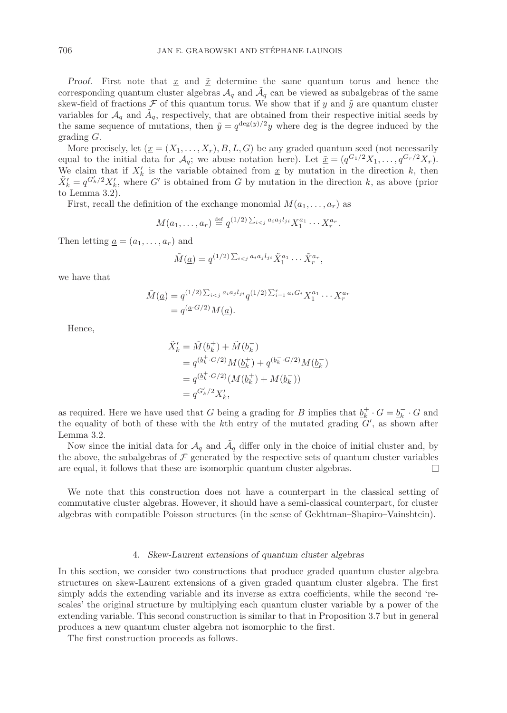*Proof.* First note that  $\underline{x}$  and  $\underline{\tilde{x}}$  determine the same quantum torus and hence the corresponding quantum cluster algebras  $A_q$  and  $A_q$  can be viewed as subalgebras of the same skew-field of fractions  $\mathcal F$  of this quantum torus. We show that if y and  $\tilde y$  are quantum cluster variables for  $A_q$  and  $A_q$ , respectively, that are obtained from their respective initial seeds by the same sequence of mutations, then  $\tilde{y} = q^{\deg(y)/2}y$  where deg is the degree induced by the grading G.

More precisely, let  $(\underline{x} = (X_1, \ldots, X_r), B, L, G)$  be any graded quantum seed (not necessarily equal to the initial data for  $\mathcal{A}_q$ ; we abuse notation here). Let  $\tilde{\underline{x}} = (q^{G_1/2}X_1,\ldots,q^{G_r/2}X_r)$ . We claim that if  $X'_k$  is the variable obtained from  $\underline{x}$  by mutation in the direction  $k$ , then  $\tilde{X}'_k = q^{G'_k/2} X'_k$ , where G' is obtained from G by mutation in the direction k, as above (prior to Lemma 3.2).

First, recall the definition of the exchange monomial  $M(a_1,\ldots,a_r)$  as

$$
M(a_1,\ldots,a_r) \stackrel{\text{def}}{=} q^{(1/2)\sum_{i
$$

Then letting  $\underline{a} = (a_1, \ldots, a_r)$  and

$$
\tilde{M}(\underline{a}) = q^{(1/2)\sum_{i < j} a_i a_j l_{ji}} \tilde{X}_1^{a_1} \cdots \tilde{X}_r^{a_r},
$$

we have that

$$
\tilde{M}(\underline{a}) = q^{(1/2)\sum_{i < j} a_i a_j l_{ji}} q^{(1/2)\sum_{i=1}^r a_i G_i} X_1^{a_1} \cdots X_r^{a_r} = q^{(\underline{a} \cdot G/2)} M(\underline{a}).
$$

Hence,

$$
\tilde{X}'_k = \tilde{M}(\underline{b}_k^+) + \tilde{M}(\underline{b}_k^-) \n= q^{(\underline{b}_k^+, G/2)} M(\underline{b}_k^+) + q^{(\underline{b}_k^-, G/2)} M(\underline{b}_k^-) \n= q^{(\underline{b}_k^+, G/2)} (M(\underline{b}_k^+) + M(\underline{b}_k^-)) \n= q^{G'_k/2} X'_k,
$$

as required. Here we have used that G being a grading for B implies that  $\underline{b}_k^+ \cdot G = \underline{b}_k^- \cdot G$  and the equality of both of these with the  $k$ th entry of the mutated grading  $G'$ , as shown after Lemma 3.2.

Now since the initial data for  $\mathcal{A}_q$  and  $\tilde{\mathcal{A}}_q$  differ only in the choice of initial cluster and, by the above, the subalgebras of  $\mathcal F$  generated by the respective sets of quantum cluster variables are equal, it follows that these are isomorphic quantum cluster algebras.  $\Box$ 

We note that this construction does not have a counterpart in the classical setting of commutative cluster algebras. However, it should have a semi-classical counterpart, for cluster algebras with compatible Poisson structures (in the sense of Gekhtman–Shapiro–Vainshtein).

# 4. *Skew-Laurent extensions of quantum cluster algebras*

In this section, we consider two constructions that produce graded quantum cluster algebra structures on skew-Laurent extensions of a given graded quantum cluster algebra. The first simply adds the extending variable and its inverse as extra coefficients, while the second 'rescales' the original structure by multiplying each quantum cluster variable by a power of the extending variable. This second construction is similar to that in Proposition 3.7 but in general produces a new quantum cluster algebra not isomorphic to the first.

The first construction proceeds as follows.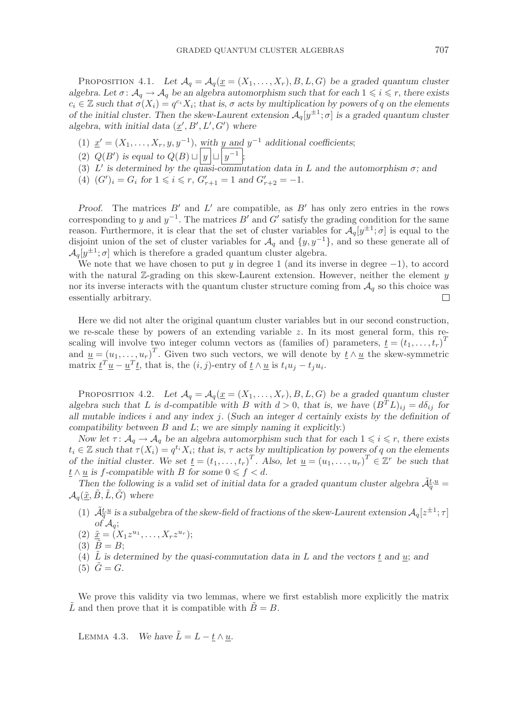PROPOSITION 4.1. Let  $\mathcal{A}_q = \mathcal{A}_q(\underline{x} = (X_1, \ldots, X_r), B, L, G)$  be a graded quantum cluster *algebra.* Let  $\sigma: \mathcal{A}_q \to \mathcal{A}_q$  be an algebra automorphism such that for each  $1 \leq i \leq r$ , there exists  $c_i \in \mathbb{Z}$  such that  $\sigma(X_i) = q^{c_i}X_i$ ; that is,  $\sigma$  acts by multiplication by powers of q on the elements *of the initial cluster. Then the skew-Laurent extension*  $\mathcal{A}_q[y^{\pm 1}; \sigma]$  *is a graded quantum cluster* algebra, with initial data  $(\underline{x}', B', L', G')$  where

- (1)  $\underline{x}' = (X_1, \ldots, X_r, y, y^{-1}),$  with y and  $y^{-1}$  additional coefficients;
- (2)  $Q(B')$  is equal to  $Q(B) \sqcup |y| \sqcup |y^{-1}|$ ;
- (3) L' is determined by the quasi-commutation data in L and the automorphism  $\sigma$ ; and
- (4)  $(G')_i = G_i$  for  $1 \leq i \leq r$ ,  $G'_{r+1} = 1$  and  $G'_{r+2} = -1$ .

*Proof.* The matrices  $B'$  and  $L'$  are compatible, as  $B'$  has only zero entries in the rows corresponding to y and  $y^{-1}$ . The matrices B' and G' satisfy the grading condition for the same reason. Furthermore, it is clear that the set of cluster variables for  $\mathcal{A}_q[y^{\pm 1}; \sigma]$  is equal to the disjoint union of the set of cluster variables for  $\mathcal{A}_q$  and  $\{y, y^{-1}\}$ , and so these generate all of  $\mathcal{A}_{q}[y^{\pm 1}; \sigma]$  which is therefore a graded quantum cluster algebra.

We note that we have chosen to put y in degree 1 (and its inverse in degree  $-1$ ), to accord with the natural Z-grading on this skew-Laurent extension. However, neither the element  $y$ nor its inverse interacts with the quantum cluster structure coming from  $A<sub>q</sub>$  so this choice was essentially arbitrary.  $\Box$ 

Here we did not alter the original quantum cluster variables but in our second construction, we re-scale these by powers of an extending variable  $z$ . In its most general form, this rescaling will involve two integer column vectors as (families of) parameters,  $\underline{t} = (t_1, \ldots, t_r)^T$ and  $\underline{u} = (u_1, \ldots, u_r)^T$ . Given two such vectors, we will denote by  $\underline{t} \wedge \underline{u}$  the skew-symmetric matrix  $\underline{t}^T \underline{u} - \underline{u}^T \underline{t}$ , that is, the  $(i, j)$ -entry of  $\underline{t} \wedge \underline{u}$  is  $t_i u_j - t_j u_i$ .

PROPOSITION 4.2. Let  $\mathcal{A}_q = \mathcal{A}_q(\underline{x} = (X_1, \ldots, X_r), B, L, G)$  be a graded quantum cluster *algebra such that* L *is* d-compatible with B with  $d > 0$ , that is, we have  $(B^T L)_{ij} = d\delta_{ij}$  for *all mutable indices* i *and any index* j*.* (*Such an integer* d *certainly exists by the definition of compatibility between* B *and* L; *we are simply naming it explicitly.*)

*Now let*  $\tau: \mathcal{A}_q \to \mathcal{A}_q$  *be an algebra automorphism such that for each*  $1 \leq i \leq r$ , *there exists*  $t_i \in \mathbb{Z}$  *such that*  $\tau(X_i) = q^{t_i} X_i$ ; *that is*,  $\tau$  *acts by multiplication by powers of q on the elements of the initial cluster.* We set  $\underline{t} = (t_1, \ldots, t_r)^T$ . Also, let  $\underline{u} = (u_1, \ldots, u_r)^T \in \mathbb{Z}^r$  be such that  $\underline{t} \wedge \underline{u}$  is  $f$ -compatible with  $B$  for some  $0 \leqslant f < d$ .

Then the following is a valid set of initial data for a graded quantum cluster algebra  $\tilde{\mathcal{A}}_{q}^{t,u}$  $\mathcal{A}_q(\underline{\tilde{x}}, \underline{\tilde{B}}, \underline{\tilde{L}}, \underline{\tilde{G}})$  where

- (1)  $\tilde{A}_q^{t,\underline{u}}$  is a subalgebra of the skew-field of fractions of the skew-Laurent extension  $A_q[z^{\pm 1}; \tau]$ *of*  $\mathcal{A}_q$ ;
- (2)  $\underline{\tilde{x}} = (X_1 z^{u_1}, \ldots, X_r z^{u_r});$
- (3)  $\tilde{B} = B$ ;
- (4) L is determined by the quasi-commutation data in L and the vectors  $\underline{t}$  and  $\underline{u}$ ; and
- $(5)$   $G = G$ .

We prove this validity via two lemmas, where we first establish more explicitly the matrix L and then prove that it is compatible with  $B = B$ .

LEMMA 4.3. *We have*  $\tilde{L} = L - t \wedge u$ .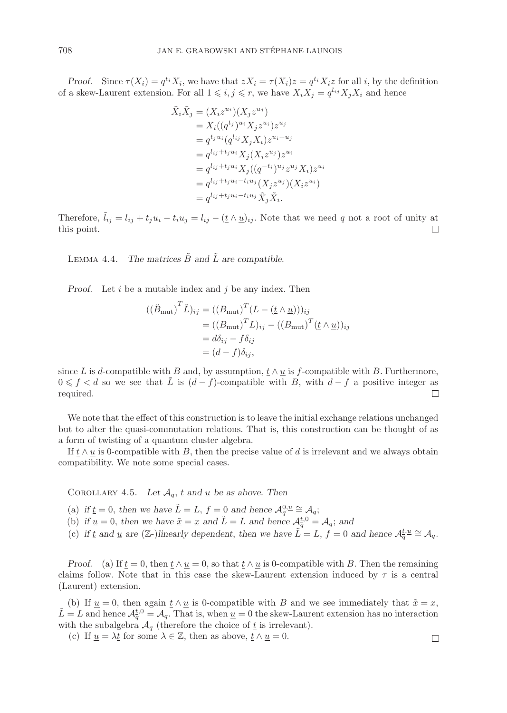*Proof.* Since  $\tau(X_i) = q^{t_i} X_i$ , we have that  $z X_i = \tau(X_i) z = q^{t_i} X_i z$  for all i, by the definition of a skew-Laurent extension. For all  $1 \leq i, j \leq r$ , we have  $X_i X_j = q^{l_{ij}} X_j X_i$  and hence

$$
\tilde{X}_i \tilde{X}_j = (X_i z^{u_i}) (X_j z^{u_j}) \n= X_i ((q^{t_j})^{u_i} X_j z^{u_i}) z^{u_j} \n= q^{t_j u_i} (q^{l_{ij}} X_j X_i) z^{u_i + u_j} \n= q^{l_{ij} + t_j u_i} X_j (X_i z^{u_j}) z^{u_i} \n= q^{l_{ij} + t_j u_i} X_j ((q^{-t_i})^{u_j} z^{u_j} X_i) z^{u_i} \n= q^{l_{ij} + t_j u_i - t_i u_j} (X_j z^{u_j}) (X_i z^{u_i}) \n= q^{l_{ij} + t_j u_i - t_i u_j} \tilde{X}_j \tilde{X}_i.
$$

Therefore,  $\tilde{l}_{ij} = l_{ij} + t_j u_i - t_i u_j = l_{ij} - (\underline{t} \wedge \underline{u})_{ij}$ . Note that we need q not a root of unity at this point.  $\Box$ 

LEMMA 4.4. *The matrices*  $\tilde{B}$  and  $\tilde{L}$  are compatible.

*Proof.* Let i be a mutable index and j be any index. Then

$$
((\tilde{B}_{\text{mut}})^{T}\tilde{L})_{ij} = ((B_{\text{mut}})^{T}(L - (\underline{t} \wedge \underline{u})))_{ij}
$$
  
=  $((B_{\text{mut}})^{T}L)_{ij} - ((B_{\text{mut}})^{T}(\underline{t} \wedge \underline{u}))_{ij}$   
=  $d\delta_{ij} - f\delta_{ij}$   
=  $(d - f)\delta_{ij}$ ,

since L is d-compatible with B and, by assumption,  $t \wedge u$  is f-compatible with B. Furthermore,  $0 \leq f < d$  so we see that  $\tilde{L}$  is  $(d - f)$ -compatible with B, with  $d - f$  a positive integer as required.  $\Box$ 

We note that the effect of this construction is to leave the initial exchange relations unchanged but to alter the quasi-commutation relations. That is, this construction can be thought of as a form of twisting of a quantum cluster algebra.

If  $t \wedge u$  is 0-compatible with B, then the precise value of d is irrelevant and we always obtain compatibility. We note some special cases.

COROLLARY 4.5. Let  $\mathcal{A}_q$ , <u>t</u> and <u>u</u> be as above. Then

(a) if  $\underline{t} = 0$ , then we have  $\tilde{L} = L$ ,  $f = 0$  and hence  $\mathcal{A}_q^{0,\underline{u}} \cong \mathcal{A}_q$ ;

- (b) if  $\underline{u} = 0$ , then we have  $\underline{\tilde{x}} = \underline{x}$  and  $\tilde{L} = L$  and hence  $\mathcal{A}_q^{t,0} = \mathcal{A}_q$ ; and
- (c) if  $\underline{t}$  and  $\underline{u}$  are  $(\mathbb{Z}-)$  linearly dependent, then we have  $\tilde{L} = L$ ,  $\overline{f} = 0$  and hence  $\mathcal{A}_{q}^{\underline{t},\underline{u}} \cong \mathcal{A}_{q}$ .

*Proof.* (a) If  $\underline{t} = 0$ , then  $\underline{t} \wedge \underline{u} = 0$ , so that  $\underline{t} \wedge \underline{u}$  is 0-compatible with B. Then the remaining claims follow. Note that in this case the skew-Laurent extension induced by  $\tau$  is a central (Laurent) extension.

(b) If  $\underline{u} = 0$ , then again  $\underline{t} \wedge \underline{u}$  is 0-compatible with B and we see immediately that  $\tilde{x} = x$ ,  $\tilde{L} = L$  and hence  $\mathcal{A}_q^{t,0} = \mathcal{A}_q$ . That is, when  $\underline{u} = 0$  the skew-Laurent extension has no interaction with the subalgebra  $\mathcal{A}_q$  (therefore the choice of  $\underline{t}$  is irrelevant).

(c) If  $\underline{u} = \lambda \underline{t}$  for some  $\lambda \in \mathbb{Z}$ , then as above,  $\underline{t} \wedge \underline{u} = 0$ .

$$
\Box
$$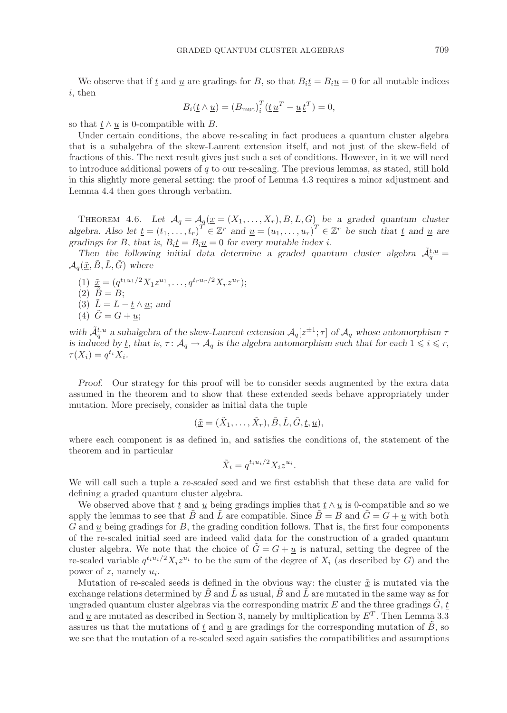We observe that if t and u are gradings for B, so that  $B_i t = B_i u = 0$  for all mutable indices i, then

$$
B_i(\underline{t}\wedge \underline{u}) = (B_{\text{mut}})_i^T(\underline{t}\underline{u}^T - \underline{u}\underline{t}^T) = 0,
$$

so that  $t \wedge u$  is 0-compatible with B.

Under certain conditions, the above re-scaling in fact produces a quantum cluster algebra that is a subalgebra of the skew-Laurent extension itself, and not just of the skew-field of fractions of this. The next result gives just such a set of conditions. However, in it we will need to introduce additional powers of  $q$  to our re-scaling. The previous lemmas, as stated, still hold in this slightly more general setting: the proof of Lemma 4.3 requires a minor adjustment and Lemma 4.4 then goes through verbatim.

THEOREM 4.6. Let  $\mathcal{A}_q = \mathcal{A}_q(\underline{x} = (X_1, \ldots, X_r), B, L, G)$  be a graded quantum cluster *algebra. Also let*  $\underline{t} = (t_1, \ldots, t_r)^T \in \mathbb{Z}^r$  *and*  $\underline{u} = (u_1, \ldots, u_r)^T \in \mathbb{Z}^r$  *be such that*  $\underline{t}$  *and*  $\underline{u}$  *are gradings for* B, that is,  $B_i \underline{t} = B_i \underline{u} = 0$  *for every mutable index i.* 

Then the following initial data determine a graded quantum cluster algebra  $\tilde{\mathcal{A}}_{\overline{a}}^{t,\underline{u}}=$  $\mathcal{A}_q(\underline{\tilde{x}}, \underline{\tilde{B}}, \underline{\tilde{L}}, \underline{\tilde{G}})$  where

- (1)  $\tilde{\underline{x}} = (q^{t_1u_1/2}X_1z^{u_1}, \ldots, q^{t_ru_r/2}X_rz^{u_r});$  $(2)$   $\tilde{B} = B$ ;
- (3)  $\tilde{L} = L t \wedge u$ ; and
- (4)  $\tilde{G} = G + u;$

with  $\tilde{\mathcal{A}}_q^{t,u}$  a subalgebra of the skew-Laurent extension  $\mathcal{A}_q[z^{\pm 1};\tau]$  of  $\mathcal{A}_q$  whose automorphism  $\tau$ *is induced by*  $\underline{t}$ , that is,  $\tau: \mathcal{A}_q \to \mathcal{A}_q$  is the algebra automorphism such that for each  $1 \leq i \leq r$ ,  $\tau(X_i) = q^{t_i} X_i.$ 

*Proof.* Our strategy for this proof will be to consider seeds augmented by the extra data assumed in the theorem and to show that these extended seeds behave appropriately under mutation. More precisely, consider as initial data the tuple

$$
(\underline{\tilde{x}}=(\tilde{X}_1,\ldots,\tilde{X}_r),\tilde{B},\tilde{L},\tilde{G},\underline{t},\underline{u}),
$$

where each component is as defined in, and satisfies the conditions of, the statement of the theorem and in particular

$$
\tilde{X}_i = q^{t_i u_i/2} X_i z^{u_i}.
$$

We will call such a tuple a *re-scaled* seed and we first establish that these data are valid for defining a graded quantum cluster algebra.

We observed above that t and u being gradings implies that  $t \wedge u$  is 0-compatible and so we apply the lemmas to see that B and L are compatible. Since  $B = B$  and  $G = G + \underline{u}$  with both  $G$  and  $u$  being gradings for  $B$ , the grading condition follows. That is, the first four components of the re-scaled initial seed are indeed valid data for the construction of a graded quantum cluster algebra. We note that the choice of  $G = G + u$  is natural, setting the degree of the re-scaled variable  $q^{t_i u_i/2} X_i z^{u_i}$  to be the sum of the degree of  $X_i$  (as described by G) and the power of z, namely  $u_i$ .

Mutation of re-scaled seeds is defined in the obvious way: the cluster  $\tilde{x}$  is mutated via the exchange relations determined by B and L as usual, B and L are mutated in the same way as for ungraded quantum cluster algebras via the corresponding matrix  $E$  and the three gradings  $G, t$ and  $\underline{u}$  are mutated as described in Section 3, namely by multiplication by  $E^T$ . Then Lemma 3.3 assures us that the mutations of t and u are gradings for the corresponding mutation of  $B$ , so we see that the mutation of a re-scaled seed again satisfies the compatibilities and assumptions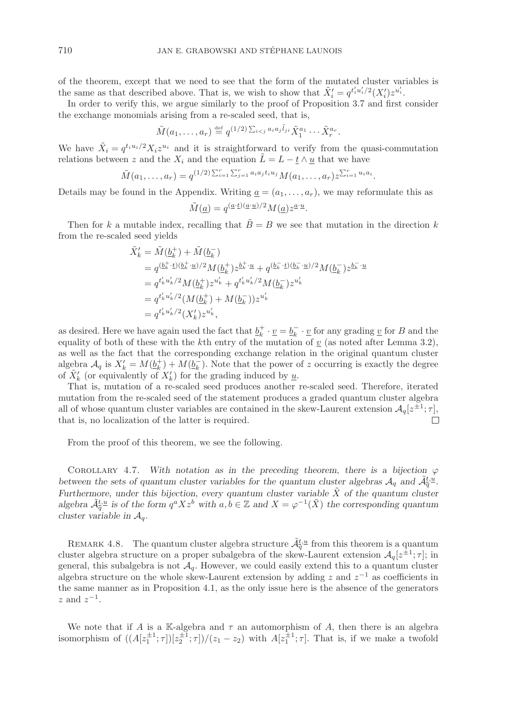of the theorem, except that we need to see that the form of the mutated cluster variables is the same as that described above. That is, we wish to show that  $\tilde{X}'_i = q^{t'_i u'_i/2} (X'_i) z^{u'_i}$ .

In order to verify this, we argue similarly to the proof of Proposition 3.7 and first consider the exchange monomials arising from a re-scaled seed, that is,

$$
\tilde{M}(a_1,\ldots,a_r) \stackrel{\text{def}}{=} q^{(1/2)\sum_{i < j} a_i a_j \tilde{l}_{ji}} \tilde{X}_1^{a_1} \cdots \tilde{X}_r^{a_r}.
$$

We have  $\tilde{X}_i = q^{t_i u_i/2} X_i z^{u_i}$  and it is straightforward to verify from the quasi-commutation relations between z and the  $X_i$  and the equation  $\tilde{L} = L - \underline{t} \wedge \underline{u}$  that we have

$$
\tilde{M}(a_1,\ldots,a_r) = q^{(1/2)\sum_{i=1}^r \sum_{j=1}^r a_i a_j t_i u_j} M(a_1,\ldots,a_r) z^{\sum_{i=1}^r u_i a_i}.
$$

Details may be found in the Appendix. Writing  $a = (a_1, \ldots, a_r)$ , we may reformulate this as

$$
\tilde{M}(\underline{a}) = q^{(\underline{a} \cdot \underline{t})(\underline{a} \cdot \underline{u})/2} M(\underline{a}) z^{\underline{a} \cdot \underline{u}}.
$$

Then for k a mutable index, recalling that  $\tilde{B} = B$  we see that mutation in the direction k from the re-scaled seed yields

$$
\begin{split} \tilde{X}'_{k}&=\tilde{M}(\underline{b}^{+}_{k})+\tilde{M}(\underline{b}^{-}_{k})\\ &=q^{(\underline{b}^{+}_{k}\cdot\underline{t})(\underline{b}^{+}_{k}\cdot\underline{u})/2}M(\underline{b}^{+}_{k})z^{\underline{b}^{+}_{k}\cdot\underline{u}}+q^{(\underline{b}^{-}_{k}\cdot\underline{t})(\underline{b}^{-}_{k}\cdot\underline{u})/2}M(\underline{b}^{-}_{k})z^{\underline{b}^{-}_{k}\cdot\underline{u}}\\ &=q^{t'_{k}u'_{k}/2}M(\underline{b}^{+}_{k})z^{u'_{k}}+q^{t'_{k}u'_{k}/2}M(\underline{b}^{-}_{k})z^{u'_{k}}\\ &=q^{t'_{k}u'_{k}/2}(M(\underline{b}^{+}_{k})+M(\underline{b}^{-}_{k}))z^{u'_{k}}\\ &=q^{t'_{k}u'_{k}/2}(X'_{k})z^{u'_{k}}, \end{split}
$$

as desired. Here we have again used the fact that  $\underline{b}_k^+ \cdot \underline{v} = \underline{b}_k^- \cdot \underline{v}$  for any grading  $\underline{v}$  for B and the equality of both of these with the kth entry of the mutation of  $v$  (as noted after Lemma 3.2), as well as the fact that the corresponding exchange relation in the original quantum cluster algebra  $\mathcal{A}_q$  is  $X'_k = M(\underline{b}_k^+) + M(\underline{b}_k^-)$ . Note that the power of z occurring is exactly the degree of  $\tilde{X}'_k$  (or equivalently of  $X'_k$ ) for the grading induced by  $\underline{u}$ .

That is, mutation of a re-scaled seed produces another re-scaled seed. Therefore, iterated mutation from the re-scaled seed of the statement produces a graded quantum cluster algebra all of whose quantum cluster variables are contained in the skew-Laurent extension  $\mathcal{A}_q[z^{\pm 1}; \tau]$ , that is, no localization of the latter is required.  $\Box$ 

From the proof of this theorem, we see the following.

COROLLARY 4.7. With notation as in the preceding theorem, there is a bijection  $\varphi$ between the sets of quantum cluster variables for the quantum cluster algebras  $A_q$  and  $\tilde{A}_q^{t,\underline{u}}$ . *Furthermore*, *under this bijection*, *every quantum cluster variable*  $\tilde{X}$  *of the quantum cluster* algebra  $\tilde{\mathcal{A}}_{q}^{t,\underline{u}}$  is of the form  $q^a X z^b$  with  $a, b \in \mathbb{Z}$  and  $X = \varphi^{-1}(\tilde{X})$  the corresponding quantum *cluster variable in*  $A_q$ .

REMARK 4.8. The quantum cluster algebra structure  $\tilde{\mathcal{A}}_{q}^{t,u}$  from this theorem is a quantum cluster algebra structure on a proper subalgebra of the skew-Laurent extension  $\mathcal{A}_q[z^{\pm 1}; \tau]$ ; in general, this subalgebra is not  $\mathcal{A}_q$ . However, we could easily extend this to a quantum cluster algebra structure on the whole skew-Laurent extension by adding z and  $z^{-1}$  as coefficients in the same manner as in Proposition 4.1, as the only issue here is the absence of the generators  $z$  and  $z^{-1}$ .

We note that if A is a K-algebra and  $\tau$  an automorphism of A, then there is an algebra isomorphism of  $((A[z_1^{\pm 1}; \tau])[z_2^{\pm 1}; \tau])/(z_1 - z_2)$  with  $A[z_1^{\pm 1}; \tau]$ . That is, if we make a twofold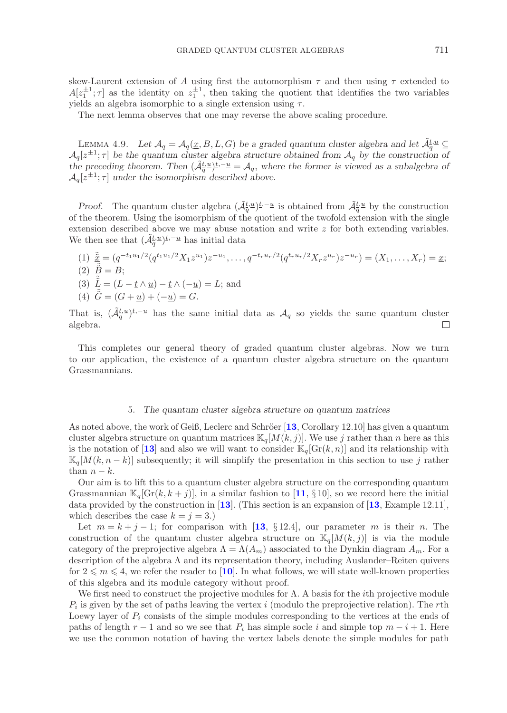skew-Laurent extension of A using first the automorphism  $\tau$  and then using  $\tau$  extended to  $A[z_1^{\pm 1}; \tau]$  as the identity on  $z_1^{\pm 1}$ , then taking the quotient that identifies the two variables yields an algebra isomorphic to a single extension using  $\tau$ .

The next lemma observes that one may reverse the above scaling procedure.

LEMMA 4.9. Let  $\mathcal{A}_q = \mathcal{A}_q(\underline{x}, B, L, G)$  be a graded quantum cluster algebra and let  $\tilde{\mathcal{A}}_q^{\underline{t},\underline{u}}$  $\mathcal{A}_q[z^{\pm 1}; \tau]$  be the quantum cluster algebra structure obtained from  $\mathcal{A}_q$  by the construction of *the preceding theorem. Then*  $(\tilde{\mathcal{A}}_q^{t,u})^{\underline{t},-\underline{u}} = \mathcal{A}_q$ , where the former is viewed as a subalgebra of  $\mathcal{A}_{q}[z^{\pm 1}; \tau]$  *under the isomorphism described above.* 

*Proof.* The quantum cluster algebra  $(\tilde{\mathcal{A}}_q^{\underline{t},\underline{u}})^{\underline{t},-\underline{u}}$  is obtained from  $\tilde{\mathcal{A}}_q^{\underline{t},\underline{u}}$  by the construction of the theorem. Using the isomorphism of the quotient of the twofold extension with the single extension described above we may abuse notation and write  $z$  for both extending variables. We then see that  $(\tilde{\mathcal{A}}_q^{\underline{t},u})^{\underline{t},-\underline{u}}$  has initial data

$$
(1) \ \frac{\tilde{x}}{\tilde{x}} = (q^{-t_1 u_1/2} (q^{t_1 u_1/2} X_1 z^{u_1}) z^{-u_1}, \dots, q^{-t_r u_r/2} (q^{t_r u_r/2} X_r z^{u_r}) z^{-u_r}) = (X_1, \dots, X_r) = \underline{x};
$$
\n
$$
(2) \ \frac{\tilde{x}}{\tilde{x}} = B;
$$

(3)  $\tilde{L} = (L - \underline{t} \wedge \underline{u}) - \underline{t} \wedge (-\underline{u}) = L$ ; and

(4)  $\tilde{G} = (G + \underline{u}) + (-\underline{u}) = G.$ 

That is,  $(\tilde{\mathcal{A}}_q^{\underline{t},u})^{\underline{t},-\underline{u}}$  has the same initial data as  $\mathcal{A}_q$  so yields the same quantum cluster algebra.  $\Box$ 

This completes our general theory of graded quantum cluster algebras. Now we turn to our application, the existence of a quantum cluster algebra structure on the quantum Grassmannians.

### 5. *The quantum cluster algebra structure on quantum matrices*

As noted above, the work of Geiß, Leclerc and Schröer [[13](#page-34-5), Corollary 12.10] has given a quantum cluster algebra structure on quantum matrices  $\mathbb{K}_q[M(k, j)]$ . We use j rather than n here as this is the notation of [[13](#page-34-5)] and also we will want to consider  $\mathbb{K}_q[\text{Gr}(k,n)]$  and its relationship with  $\mathbb{K}_q[M(k, n-k)]$  subsequently; it will simplify the presentation in this section to use j rather than  $n - k$ .

Our aim is to lift this to a quantum cluster algebra structure on the corresponding quantum Grassmannian  $\mathbb{K}_q[\text{Gr}(k, k + j)]$ , in a similar fashion to [[11](#page-34-3), § 10], so we record here the initial data provided by the construction in [**[13](#page-34-5)**]. (This section is an expansion of [**[13](#page-34-5)**, Example 12.11], which describes the case  $k = j = 3.$ )

Let  $m = k + j - 1$ ; for comparison with [[13](#page-34-5), § 12.4], our parameter m is their n. The construction of the quantum cluster algebra structure on  $\mathbb{K}_q[M(k,j)]$  is via the module category of the preprojective algebra  $\Lambda = \Lambda(A_m)$  associated to the Dynkin diagram  $A_m$ . For a description of the algebra Λ and its representation theory, including Auslander–Reiten quivers for  $2 \leq m \leq 4$ , we refer the reader to [[10](#page-34-14)]. In what follows, we will state well-known properties of this algebra and its module category without proof.

We first need to construct the projective modules for  $\Lambda$ . A basis for the *i*th projective module  $P_i$  is given by the set of paths leaving the vertex i (modulo the preprojective relation). The rth Loewy layer of  $P_i$  consists of the simple modules corresponding to the vertices at the ends of paths of length  $r - 1$  and so we see that  $P_i$  has simple socle i and simple top  $m - i + 1$ . Here we use the common notation of having the vertex labels denote the simple modules for path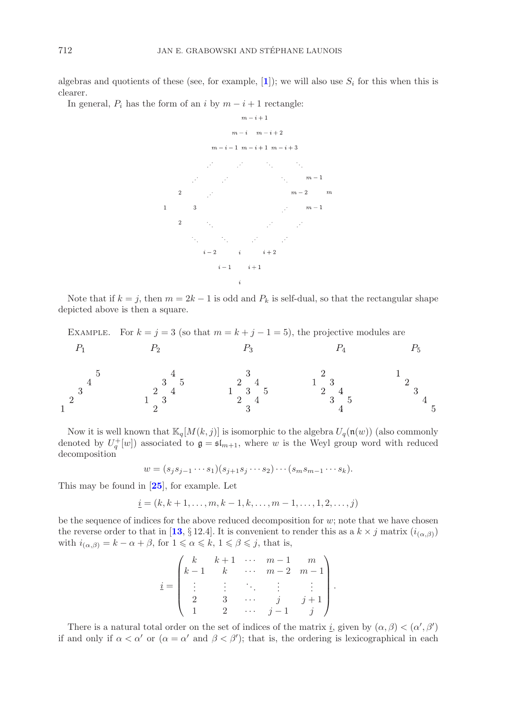algebras and quotients of these (see, for example,  $[1]$  $[1]$  $[1]$ ); we will also use  $S_i$  for this when this is clearer.

In general,  $P_i$  has the form of an i by  $m - i + 1$  rectangle:



Note that if  $k = j$ , then  $m = 2k - 1$  is odd and  $P_k$  is self-dual, so that the rectangular shape depicted above is then a square.

| EXAMPLE. For $k = j = 3$ (so that $m = k + j - 1 = 5$ ), the projective modules are |  |  |  |
|-------------------------------------------------------------------------------------|--|--|--|
|                                                                                     |  |  |  |
|                                                                                     |  |  |  |
|                                                                                     |  |  |  |

Now it is well known that  $\mathbb{K}_q[M(k,j)]$  is isomorphic to the algebra  $U_q(\mathfrak{n}(w))$  (also commonly denoted by  $U_q^+[w]$ ) associated to  $\mathfrak{g} = \mathfrak{sl}_{m+1}$ , where w is the Weyl group word with reduced decomposition decomposition

$$
w = (s_j s_{j-1} \cdots s_1)(s_{j+1} s_j \cdots s_2) \cdots (s_m s_{m-1} \cdots s_k).
$$

This may be found in [**[25](#page-35-7)**], for example. Let

$$
i = (k, k + 1, ..., m, k - 1, k, ..., m - 1, ..., 1, 2, ..., j)
$$

be the sequence of indices for the above reduced decomposition for  $w$ ; note that we have chosen the reverse order to that in [[13](#page-34-5), § 12.4]. It is convenient to render this as a  $k \times j$  matrix  $(i_{(\alpha,\beta)})$ with  $i_{(\alpha,\beta)} = k - \alpha + \beta$ , for  $1 \leq \alpha \leq k$ ,  $1 \leq \beta \leq j$ , that is,

$$
\underline{i} = \begin{pmatrix} k & k+1 & \cdots & m-1 & m \\ k-1 & k & \cdots & m-2 & m-1 \\ \vdots & \vdots & \ddots & \vdots & \vdots \\ 2 & 3 & \cdots & j & j+1 \\ 1 & 2 & \cdots & j-1 & j \end{pmatrix}.
$$

There is a natural total order on the set of indices of the matrix <u>i</u>, given by  $(\alpha, \beta) < (\alpha', \beta')$ if and only if  $\alpha < \alpha'$  or  $(\alpha = \alpha'$  and  $\beta < \beta')$ ; that is, the ordering is lexicographical in each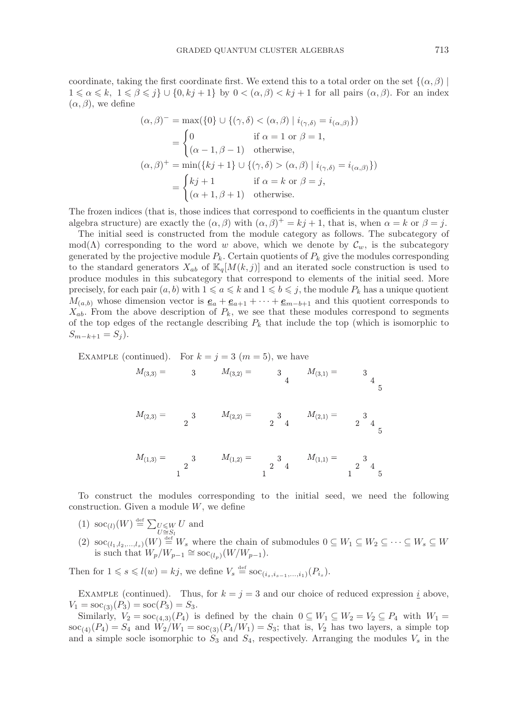coordinate, taking the first coordinate first. We extend this to a total order on the set  $\{(\alpha, \beta) \mid$  $1 \leq \alpha \leq k, \ 1 \leq \beta \leq j$   $\cup$   $\{0, kj+1\}$  by  $0 < (\alpha, \beta) < kj+1$  for all pairs  $(\alpha, \beta)$ . For an index  $(\alpha, \beta)$ , we define

$$
(\alpha, \beta)^{-} = \max(\{0\} \cup \{(\gamma, \delta) < (\alpha, \beta) \mid i_{(\gamma, \delta)} = i_{(\alpha, \beta)}\})
$$
\n
$$
= \begin{cases}\n0 & \text{if } \alpha = 1 \text{ or } \beta = 1, \\
(\alpha - 1, \beta - 1) & \text{otherwise,} \\
(\alpha, \beta)^{+} = \min(\{kj + 1\} \cup \{(\gamma, \delta) > (\alpha, \beta) \mid i_{(\gamma, \delta)} = i_{(\alpha, \beta)}\})\n\end{cases}
$$
\n
$$
= \begin{cases}\nkj + 1 & \text{if } \alpha = k \text{ or } \beta = j, \\
(\alpha + 1, \beta + 1) & \text{otherwise.}\n\end{cases}
$$

The frozen indices (that is, those indices that correspond to coefficients in the quantum cluster algebra structure) are exactly the  $(\alpha, \beta)$  with  $(\alpha, \beta)^{+} = kj + 1$ , that is, when  $\alpha = k$  or  $\beta = j$ .

The initial seed is constructed from the module category as follows. The subcategory of mod( $\Lambda$ ) corresponding to the word w above, which we denote by  $\mathcal{C}_w$ , is the subcategory generated by the projective module  $P_k$ . Certain quotients of  $P_k$  give the modules corresponding to the standard generators  $X_{ab}$  of  $\mathbb{K}_q[M(k, j)]$  and an iterated socle construction is used to produce modules in this subcategory that correspond to elements of the initial seed. More precisely, for each pair  $(a, b)$  with  $1 \leq a \leq k$  and  $1 \leq b \leq j$ , the module  $P_k$  has a unique quotient  $M_{(a,b)}$  whose dimension vector is  $\underline{e}_a + \underline{e}_{a+1} + \cdots + \underline{e}_{m-b+1}$  and this quotient corresponds to  $X_{ab}$ . From the above description of  $P_k$ , we see that these modules correspond to segments of the top edges of the rectangle describing  $P_k$  that include the top (which is isomorphic to  $S_{m-k+1} = S_i$ .

EXAMPLE (continued). For 
$$
k = j = 3
$$
 ( $m = 5$ ), we have  
\n
$$
M_{(3,3)} = 3
$$
\n
$$
M_{(3,2)} = 3
$$
\n
$$
M_{(3,1)} = 3
$$
\n
$$
M_{(3,1)} = 3
$$
\n
$$
M_{(3,2)} = 3
$$
\n
$$
M_{(2,3)} = 3
$$
\n
$$
M_{(2,2)} = 3
$$
\n
$$
M_{(2,3)} = 3
$$
\n
$$
M_{(2,4)} = 3
$$
\n
$$
M_{(2,1)} = 3
$$
\n
$$
M_{(2,1)} = 3
$$
\n
$$
M_{(2,1)} = 3
$$
\n
$$
M_{(2,1)} = 3
$$
\n
$$
M_{(2,1)} = 3
$$
\n
$$
M_{(2,1)} = 3
$$
\n
$$
M_{(2,1)} = 3
$$
\n
$$
M_{(2,1)} = 3
$$
\n
$$
M_{(2,1)} = 3
$$
\n
$$
M_{(2,1)} = 3
$$
\n
$$
M_{(2,1)} = 3
$$
\n
$$
M_{(2,1)} = 3
$$
\n
$$
M_{(2,1)} = 3
$$
\n
$$
M_{(2,1)} = 3
$$
\n
$$
M_{(2,1)} = 3
$$
\n
$$
M_{(2,1)} = 3
$$
\n
$$
M_{(2,1)} = 3
$$
\n
$$
M_{(2,1)} = 3
$$
\n
$$
M_{(2,1)} = 3
$$
\n
$$
M_{(2,1)} = 3
$$
\n
$$
M_{(2,1)} = 3
$$
\n
$$
M_{(2,1)} = 3
$$
\n
$$
M_{(2,1)} = 3
$$
\n
$$
M_{(2,1)} = 3
$$

To construct the modules corresponding to the initial seed, we need the following construction. Given a module  $W$ , we define

(1)  $\operatorname{soc}_{(l)}(W) \stackrel{\text{def}}{=} \sum_{\substack{U \leq W \\ U \cong S_l}}$ U and (2)  $\operatorname{soc}_{(l_1,l_2,...,l_s)}(W) \stackrel{\text{def}}{=} W_s$  where the chain of submodules  $0 \subseteq W_1 \subseteq W_2 \subseteq \cdots \subseteq W_s \subseteq W_s$ is such that  $W_p/W_{p-1} \cong \operatorname{soc}_{(l_p)}(W/W_{p-1}).$ 

Then for  $1 \le s \le l(w) = kj$ , we define  $V_s \stackrel{\text{def}}{=} \text{soc}_{(i_s, i_{s-1},...,i_1)}(P_{i_s}).$ 

EXAMPLE (continued). Thus, for  $k = j = 3$  and our choice of reduced expression  $\underline{i}$  above,  $V_1 = \text{soc}_{(3)}(P_3) = \text{soc}(P_3) = S_3.$ 

Similarly,  $V_2 = \operatorname{soc}_{(4,3)}(P_4)$  is defined by the chain  $0 \subseteq W_1 \subseteq W_2 = V_2 \subseteq P_4$  with  $W_1 =$  $\sec_{(4)}(P_4) = S_4$  and  $W_2/W_1 = \sec_{(3)}(P_4/W_1) = S_3$ ; that is,  $V_2$  has two layers, a simple top and a simple socle isomorphic to  $S_3$  and  $S_4$ , respectively. Arranging the modules  $V_s$  in the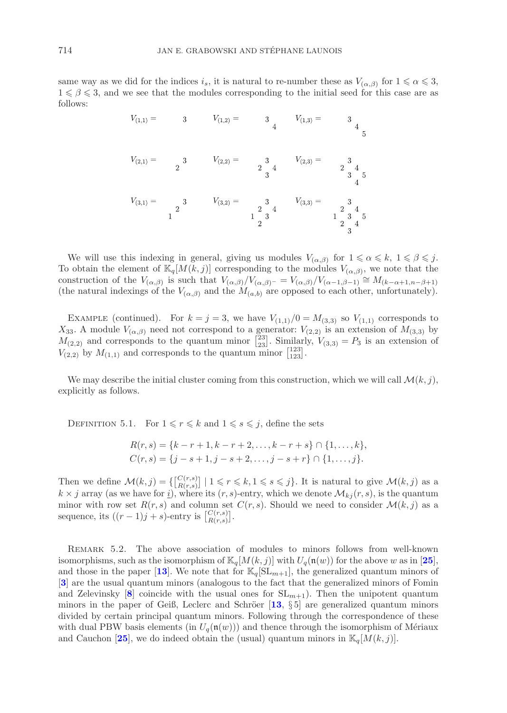same way as we did for the indices  $i_s$ , it is natural to re-number these as  $V_{(\alpha,\beta)}$  for  $1 \leq \alpha \leq 3$ ,  $1 \leq \beta \leq 3$ , and we see that the modules corresponding to the initial seed for this case are as follows:

We will use this indexing in general, giving us modules  $V_{(\alpha,\beta)}$  for  $1 \leq \alpha \leq k$ ,  $1 \leq \beta \leq j$ . To obtain the element of  $\mathbb{K}_q[M(k,j)]$  corresponding to the modules  $V_{(\alpha,\beta)}$ , we note that the construction of the  $V_{(\alpha,\beta)}$  is such that  $V_{(\alpha,\beta)}/V_{(\alpha,\beta)-} = V_{(\alpha,\beta)}/V_{(\alpha-1,\beta-1)} \cong M_{(k-\alpha+1,n-\beta+1)}$ (the natural indexings of the  $V_{(\alpha,\beta)}$  and the  $M_{(a,b)}$  are opposed to each other, unfortunately).

EXAMPLE (continued). For  $k = j = 3$ , we have  $V_{(1,1)}/0 = M_{(3,3)}$  so  $V_{(1,1)}$  corresponds to  $X_{33}$ . A module  $V_{(\alpha,\beta)}$  need not correspond to a generator:  $V_{(2,2)}$  is an extension of  $M_{(3,3)}$  by  $M_{(2,2)}$  and corresponds to the quantum minor  $\binom{23}{23}$ . Similarly,  $V_{(3,3)} = P_3$  is an extension of  $V_{(2,2)}$  by  $M_{(1,1)}$  and corresponds to the quantum minor  $\begin{bmatrix} 123 \\ 123 \end{bmatrix}$ .

We may describe the initial cluster coming from this construction, which we will call  $\mathcal{M}(k, j)$ , explicitly as follows.

DEFINITION 5.1. For  $1 \leq r \leq k$  and  $1 \leq s \leq j$ , define the sets

$$
R(r,s) = \{k - r + 1, k - r + 2, \dots, k - r + s\} \cap \{1, \dots, k\},
$$
  

$$
C(r,s) = \{j - s + 1, j - s + 2, \dots, j - s + r\} \cap \{1, \dots, j\}.
$$

Then we define  $\mathcal{M}(k, j) = \{ [C(r, s)] \mid 1 \leq r \leq k, 1 \leq s \leq j \}$ . It is natural to give  $\mathcal{M}(k, j)$  as a  $k \times j$  array (as we have for i), where its  $(r, s)$ -entry, which we denote  $\mathcal{M}_{kj}(r, s)$ , is the quantum minor with row set  $R(r, s)$  and column set  $C(r, s)$ . Should we need to consider  $\mathcal{M}(k, j)$  as a sequence, its  $((r-1)j + s)$ -entry is  $\begin{bmatrix} C(r,s) \\ R(r,s) \end{bmatrix}$ .

Remark 5.2. The above association of modules to minors follows from well-known isomorphisms, such as the isomorphism of  $\mathbb{K}_q[M(k, j)]$  with  $U_q(\mathfrak{n}(w))$  for the above w as in [[25](#page-35-7)], and those in the paper [[13](#page-34-5)]. We note that for  $\mathbb{K}_q[\text{SL}_{m+1}]$ , the generalized quantum minors of [**[3](#page-34-2)**] are the usual quantum minors (analogous to the fact that the generalized minors of Fomin and Zelevinsky  $[8]$  $[8]$  $[8]$  coincide with the usual ones for  $SL_{m+1}$ ). Then the unipotent quantum minors in the paper of Geiß, Leclerc and Schröer  $\begin{bmatrix} 13 \\ 5 \end{bmatrix}$  $\begin{bmatrix} 13 \\ 5 \end{bmatrix}$  $\begin{bmatrix} 13 \\ 5 \end{bmatrix}$  are generalized quantum minors divided by certain principal quantum minors. Following through the correspondence of these with dual PBW basis elements (in  $U_q(\mathfrak{n}(w))$ ) and thence through the isomorphism of Mériaux and Cauchon [[25](#page-35-7)], we do indeed obtain the (usual) quantum minors in  $\mathbb{K}_q[M(k,j)]$ .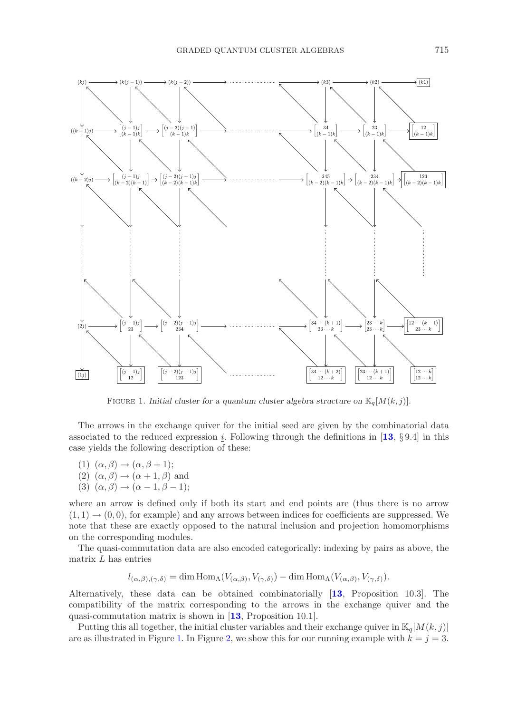

<span id="page-18-0"></span>FIGURE 1. *Initial cluster for a quantum cluster algebra structure on*  $\mathbb{K}_q[M(k,j)]$ .

The arrows in the exchange quiver for the initial seed are given by the combinatorial data associated to the reduced expression <u>i</u>. Following through the definitions in [[13](#page-34-5), § 9.4] in this case yields the following description of these:

- (1)  $(\alpha, \beta) \rightarrow (\alpha, \beta + 1);$
- (2)  $(\alpha, \beta) \rightarrow (\alpha + 1, \beta)$  and
- (3)  $(\alpha, \beta) \rightarrow (\alpha 1, \beta 1);$

where an arrow is defined only if both its start and end points are (thus there is no arrow  $(1, 1) \rightarrow (0, 0)$ , for example) and any arrows between indices for coefficients are suppressed. We note that these are exactly opposed to the natural inclusion and projection homomorphisms on the corresponding modules.

The quasi-commutation data are also encoded categorically: indexing by pairs as above, the matrix  $L$  has entries

$$
l_{(\alpha,\beta),(\gamma,\delta)} = \dim \text{Hom}_{\Lambda}(V_{(\alpha,\beta)}, V_{(\gamma,\delta)}) - \dim \text{Hom}_{\Lambda}(V_{(\alpha,\beta)}, V_{(\gamma,\delta)}).
$$

Alternatively, these data can be obtained combinatorially [**[13](#page-34-5)**, Proposition 10.3]. The compatibility of the matrix corresponding to the arrows in the exchange quiver and the quasi-commutation matrix is shown in [**[13](#page-34-5)**, Proposition 10.1].

Putting this all together, the initial cluster variables and their exchange quiver in  $\mathbb{K}_q[M(k, j)]$ are as illustrated in Figure [1.](#page-18-0) In Figure [2,](#page-19-0) we show this for our running example with  $k = j = 3$ .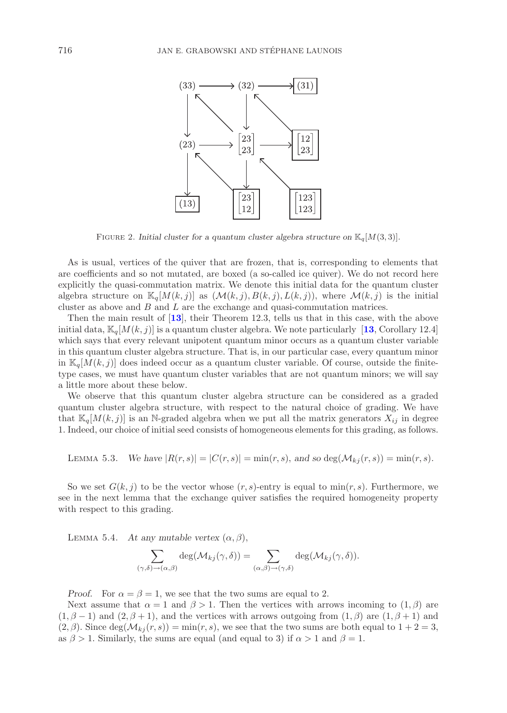

<span id="page-19-0"></span>FIGURE 2. *Initial cluster for a quantum cluster algebra structure on*  $\mathbb{K}_q[M(3,3)]$ *.* 

As is usual, vertices of the quiver that are frozen, that is, corresponding to elements that are coefficients and so not mutated, are boxed (a so-called ice quiver). We do not record here explicitly the quasi-commutation matrix. We denote this initial data for the quantum cluster algebra structure on  $\mathbb{K}_q[M(k, j)]$  as  $(\mathcal{M}(k, j), B(k, j), L(k, j))$ , where  $\mathcal{M}(k, j)$  is the initial cluster as above and  $B$  and  $L$  are the exchange and quasi-commutation matrices.

Then the main result of [**[13](#page-34-5)**], their Theorem 12.3, tells us that in this case, with the above initial data,  $\mathbb{K}_q[M(k, j)]$  is a quantum cluster algebra. We note particularly [[13](#page-34-5), Corollary 12.4] which says that every relevant unipotent quantum minor occurs as a quantum cluster variable in this quantum cluster algebra structure. That is, in our particular case, every quantum minor in  $\mathbb{K}_q[M(k,j)]$  does indeed occur as a quantum cluster variable. Of course, outside the finitetype cases, we must have quantum cluster variables that are not quantum minors; we will say a little more about these below.

We observe that this quantum cluster algebra structure can be considered as a graded quantum cluster algebra structure, with respect to the natural choice of grading. We have that  $\mathbb{K}_q[M(k, j)]$  is an N-graded algebra when we put all the matrix generators  $X_{ij}$  in degree 1. Indeed, our choice of initial seed consists of homogeneous elements for this grading, as follows.

LEMMA 5.3. We have 
$$
|R(r,s)| = |C(r,s)| = \min(r,s)
$$
, and so  $\deg(\mathcal{M}_{kj}(r,s)) = \min(r,s)$ .

So we set  $G(k, i)$  to be the vector whose  $(r, s)$ -entry is equal to min $(r, s)$ . Furthermore, we see in the next lemma that the exchange quiver satisfies the required homogeneity property with respect to this grading.

LEMMA 5.4. *At any mutable vertex*  $(\alpha, \beta)$ ,

$$
\sum_{(\gamma,\delta)\to(\alpha,\beta)} \deg(\mathcal{M}_{kj}(\gamma,\delta)) = \sum_{(\alpha,\beta)\to(\gamma,\delta)} \deg(\mathcal{M}_{kj}(\gamma,\delta)).
$$

*Proof.* For  $\alpha = \beta = 1$ , we see that the two sums are equal to 2.

Next assume that  $\alpha = 1$  and  $\beta > 1$ . Then the vertices with arrows incoming to  $(1, \beta)$  are  $(1, \beta - 1)$  and  $(2, \beta + 1)$ , and the vertices with arrows outgoing from  $(1, \beta)$  are  $(1, \beta + 1)$  and  $(2, \beta)$ . Since deg( $\mathcal{M}_{kj}(r, s)$ ) = min $(r, s)$ , we see that the two sums are both equal to  $1 + 2 = 3$ , as  $\beta > 1$ . Similarly, the sums are equal (and equal to 3) if  $\alpha > 1$  and  $\beta = 1$ .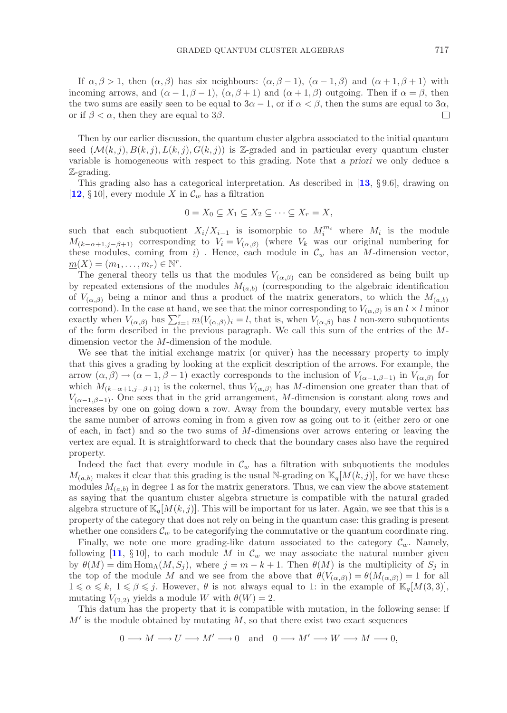If  $\alpha, \beta > 1$ , then  $(\alpha, \beta)$  has six neighbours:  $(\alpha, \beta - 1)$ ,  $(\alpha - 1, \beta)$  and  $(\alpha + 1, \beta + 1)$  with incoming arrows, and  $(\alpha - 1, \beta - 1)$ ,  $(\alpha, \beta + 1)$  and  $(\alpha + 1, \beta)$  outgoing. Then if  $\alpha = \beta$ , then the two sums are easily seen to be equal to  $3\alpha - 1$ , or if  $\alpha < \beta$ , then the sums are equal to  $3\alpha$ , or if  $\beta < \alpha$ , then they are equal to 3 $\beta$ .  $\Box$ 

Then by our earlier discussion, the quantum cluster algebra associated to the initial quantum seed  $(\mathcal{M}(k, j), B(k, j), L(k, j), G(k, j))$  is Z-graded and in particular every quantum cluster variable is homogeneous with respect to this grading. Note that *a priori* we only deduce a Z-grading.

This grading also has a categorical interpretation. As described in [**[13](#page-34-5)**, § 9.6], drawing on [[12](#page-34-17),  $\S 10$ ], every module X in  $\mathcal{C}_w$  has a filtration

$$
0 = X_0 \subseteq X_1 \subseteq X_2 \subseteq \cdots \subseteq X_r = X,
$$

such that each subquotient  $X_i/X_{i-1}$  is isomorphic to  $M_i^{m_i}$  where  $M_i$  is the module  $M_{(k-\alpha+1,j-\beta+1)}$  corresponding to  $V_i = V_{(\alpha,\beta)}$  (where  $V_k$  was our original numbering for these modules, coming from  $\underline{i}$ ). Hence, each module in  $\mathcal{C}_w$  has an M-dimension vector,  $\underline{m}(X)=(m_1,\ldots,m_r)\in\mathbb{N}^r.$ 

The general theory tells us that the modules  $V_{(\alpha,\beta)}$  can be considered as being built up by repeated extensions of the modules  $M_{(a,b)}$  (corresponding to the algebraic identification of  $V_{(\alpha,\beta)}$  being a minor and thus a product of the matrix generators, to which the  $M_{(a,b)}$ correspond). In the case at hand, we see that the minor corresponding to  $V_{(\alpha,\beta)}$  is an  $l \times l$  minor exactly when  $V_{(\alpha,\beta)}$  has  $\sum_{i=1}^r \underline{m}(V_{(\alpha,\beta)})_i = l$ , that is, when  $V_{(\alpha,\beta)}$  has l non-zero subquotients of the form described in the previous paragraph. We call this sum of the entries of the Mdimension vector the M-dimension of the module.

We see that the initial exchange matrix (or quiver) has the necessary property to imply that this gives a grading by looking at the explicit description of the arrows. For example, the arrow  $(\alpha, \beta) \rightarrow (\alpha - 1, \beta - 1)$  exactly corresponds to the inclusion of  $V_{(\alpha - 1, \beta - 1)}$  in  $V_{(\alpha, \beta)}$  for which  $M_{(k-\alpha+1,j-\beta+1)}$  is the cokernel, thus  $V_{(\alpha,\beta)}$  has M-dimension one greater than that of  $V_{(\alpha-1,\beta-1)}$ . One sees that in the grid arrangement, M-dimension is constant along rows and increases by one on going down a row. Away from the boundary, every mutable vertex has the same number of arrows coming in from a given row as going out to it (either zero or one of each, in fact) and so the two sums of  $M$ -dimensions over arrows entering or leaving the vertex are equal. It is straightforward to check that the boundary cases also have the required property.

Indeed the fact that every module in  $\mathcal{C}_w$  has a filtration with subquotients the modules  $M_{(a,b)}$  makes it clear that this grading is the usual N-grading on  $\mathbb{K}_q[M(k,j)]$ , for we have these modules  $M_{(a,b)}$  in degree 1 as for the matrix generators. Thus, we can view the above statement as saying that the quantum cluster algebra structure is compatible with the natural graded algebra structure of  $\mathbb{K}_q[M(k, j)]$ . This will be important for us later. Again, we see that this is a property of the category that does not rely on being in the quantum case: this grading is present whether one considers  $\mathcal{C}_w$  to be categorifying the commutative or the quantum coordinate ring.

Finally, we note one more grading-like datum associated to the category  $\mathcal{C}_w$ . Namely, following  $[11, \S 10]$  $[11, \S 10]$  $[11, \S 10]$ , to each module M in  $\mathcal{C}_w$  we may associate the natural number given by  $\theta(M) = \dim \text{Hom}_{\Lambda}(M, S_j)$ , where  $j = m - k + 1$ . Then  $\theta(M)$  is the multiplicity of  $S_j$  in the top of the module M and we see from the above that  $\theta(V_{(\alpha,\beta)}) = \theta(M_{(\alpha,\beta)}) = 1$  for all  $1 \leq \alpha \leq k, 1 \leq \beta \leq j$ . However,  $\theta$  is not always equal to 1: in the example of  $\mathbb{K}_q[M(3,3)]$ , mutating  $V_{(2,2)}$  yields a module W with  $\theta(W) = 2$ .

This datum has the property that it is compatible with mutation, in the following sense: if  $M'$  is the module obtained by mutating  $M$ , so that there exist two exact sequences

$$
0 \longrightarrow M \longrightarrow U \longrightarrow M' \longrightarrow 0 \quad \text{and} \quad 0 \longrightarrow M' \longrightarrow W \longrightarrow M \longrightarrow 0,
$$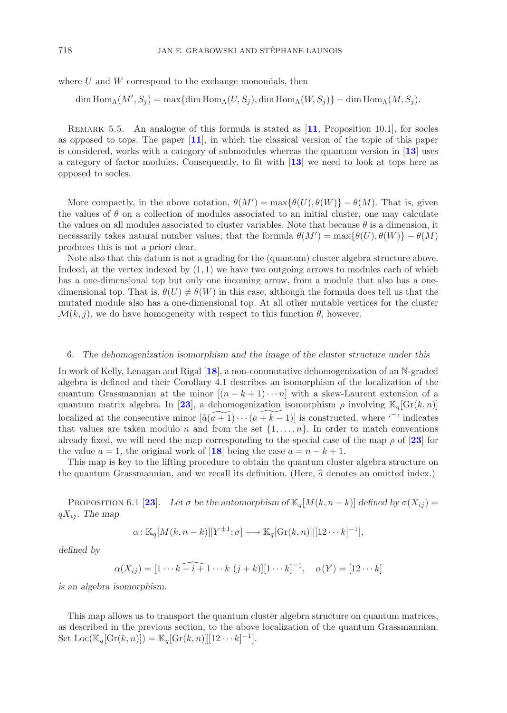where  $U$  and  $W$  correspond to the exchange monomials, then

$$
\dim \text{Hom}_{\Lambda}(M', S_j) = \max \{ \dim \text{Hom}_{\Lambda}(U, S_j), \dim \text{Hom}_{\Lambda}(W, S_j) \} - \dim \text{Hom}_{\Lambda}(M, S_j).
$$

Remark 5.5. An analogue of this formula is stated as [**[11](#page-34-3)**, Proposition 10.1], for socles as opposed to tops. The paper [**[11](#page-34-3)**], in which the classical version of the topic of this paper is considered, works with a category of submodules whereas the quantum version in [**[13](#page-34-5)**] uses a category of factor modules. Consequently, to fit with [**[13](#page-34-5)**] we need to look at tops here as opposed to socles.

More compactly, in the above notation,  $\theta(M') = \max{\{\theta(U), \theta(W)\}} - \theta(M)$ . That is, given the values of  $\theta$  on a collection of modules associated to an initial cluster, one may calculate the values on all modules associated to cluster variables. Note that because  $\theta$  is a dimension, it necessarily takes natural number values; that the formula  $\theta(M') = \max{\{\theta(U), \theta(W)\}} - \theta(M)$ produces this is not *a priori* clear.

Note also that this datum is not a grading for the (quantum) cluster algebra structure above. Indeed, at the vertex indexed by  $(1, 1)$  we have two outgoing arrows to modules each of which has a one-dimensional top but only one incoming arrow, from a module that also has a onedimensional top. That is,  $\theta(U) \neq \theta(W)$  in this case, although the formula does tell us that the mutated module also has a one-dimensional top. At all other mutable vertices for the cluster  $\mathcal{M}(k, j)$ , we do have homogeneity with respect to this function  $\theta$ , however.

#### 6. *The dehomogenization isomorphism and the image of the cluster structure under this*

In work of Kelly, Lenagan and Rigal [**[18](#page-34-4)**], a non-commutative dehomogenization of an N-graded algebra is defined and their Corollary 4.1 describes an isomorphism of the localization of the quantum Grassmannian at the minor  $[(n - k + 1) \cdots n]$  with a skew-Laurent extension of a quantum matrix algebra. In [[23](#page-35-1)], a dehomogenization isomorphism  $\rho$  involving  $\mathbb{K}_q[\text{Gr}(k,n)]$ localized at the consecutive minor  $[\tilde{a}(\widetilde{a+1})\cdots(\widetilde{a+k-1})]$  is constructed, where '<sup>\*</sup>' indicates that values are taken modulo *n* and from the set  $\{1,\ldots,n\}$ . In order to match conventions that values are taken modulo n and from the set  $\{1,\ldots,n\}$ . In order to match conventions already fixed, we will need the map corresponding to the special case of the map  $\rho$  of  $[23]$  $[23]$  $[23]$  for the value  $a = 1$ , the original work of [[18](#page-34-4)] being the case  $a = n - k + 1$ .

This map is key to the lifting procedure to obtain the quantum cluster algebra structure on the quantum Grassmannian, and we recall its definition. (Here,  $\hat{a}$  denotes an omitted index.)

PROPOSITION 6.1 [[23](#page-35-1)]. Let  $\sigma$  be the automorphism of  $\mathbb{K}_q[M(k, n-k)]$  defined by  $\sigma(X_{ij})$  =  $qX_{ij}$ *. The map* 

$$
\alpha \colon \mathbb{K}_q[M(k, n-k)][Y^{\pm 1}; \sigma] \longrightarrow \mathbb{K}_q[\text{Gr}(k, n)][[12 \cdots k]^{-1}],
$$

*defined by*

$$
\alpha(X_{ij}) = [1 \cdots k \widehat{i+1} \cdots k \ (j+k)][1 \cdots k]^{-1}, \quad \alpha(Y) = [12 \cdots k]
$$

*is an algebra isomorphism.*

This map allows us to transport the quantum cluster algebra structure on quantum matrices, as described in the previous section, to the above localization of the quantum Grassmannian. Set  $\text{Loc}(\mathbb{K}_q[\text{Gr}(k,n)]) = \mathbb{K}_q[\text{Gr}(k,n)][[12\cdots k]^{-1}].$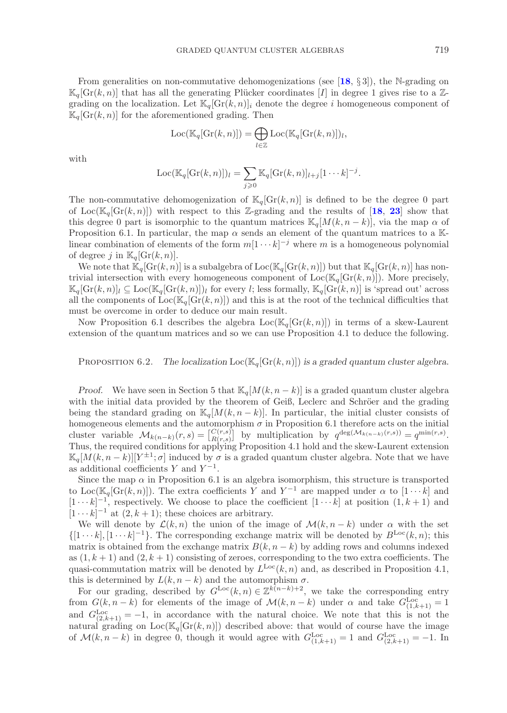From generalities on non-commutative dehomogenizations (see [**[18](#page-34-4)**, § 3]), the N-grading on  $\mathbb{K}_q[\text{Gr}(k,n)]$  that has all the generating Plücker coordinates [I] in degree 1 gives rise to a Zgrading on the localization. Let  $\mathbb{K}_q[\mathrm{Gr}(k,n)]_i$  denote the degree i homogeneous component of  $\mathbb{K}_q[\mathrm{Gr}(k,n)]$  for the aforementioned grading. Then

$$
Loc(\mathbb{K}_q[\mathrm{Gr}(k,n)]) = \bigoplus_{l \in \mathbb{Z}} Loc(\mathbb{K}_q[\mathrm{Gr}(k,n)])_l,
$$

with

$$
Loc(\mathbb{K}_q[\mathrm{Gr}(k,n)])_l = \sum_{j \geqslant 0} \mathbb{K}_q[\mathrm{Gr}(k,n)]_{l+j}[1 \cdots k]^{-j}.
$$

The non-commutative dehomogenization of  $\mathbb{K}_q[\text{Gr}(k,n)]$  is defined to be the degree 0 part of Loc( $\mathbb{K}_q[\text{Gr}(k,n)]$ ) with respect to this Z-grading and the results of [[18](#page-34-4), [23](#page-35-1)] show that this degree 0 part is isomorphic to the quantum matrices  $\mathbb{K}_q[M(k, n-k)]$ , via the map  $\alpha$  of Proposition 6.1. In particular, the map  $\alpha$  sends an element of the quantum matrices to a Klinear combination of elements of the form  $m[1 \cdots k]^{-j}$  where m is a homogeneous polynomial of degree j in  $\mathbb{K}_q[\mathrm{Gr}(k,n)]$ .

We note that  $\mathbb{K}_q[\text{Gr}(k,n)]$  is a subalgebra of  $\text{Loc}(\mathbb{K}_q[\text{Gr}(k,n)])$  but that  $\mathbb{K}_q[\text{Gr}(k,n)]$  has nontrivial intersection with every homogeneous component of  $Loc(K_q[Gr(k, n)])$ . More precisely,  $\mathbb{K}_q[\text{Gr}(k,n)]_l \subseteq \text{Loc}(\mathbb{K}_q[\text{Gr}(k,n)])_l$  for every l; less formally,  $\mathbb{K}_q[\text{Gr}(k,n)]$  is 'spread out' across all the components of  $Loc(\mathbb{K}_q[\text{Gr}(k, n)])$  and this is at the root of the technical difficulties that must be overcome in order to deduce our main result.

Now Proposition 6.1 describes the algebra  $Loc(\mathbb{K}_q[\text{Gr}(k, n)])$  in terms of a skew-Laurent extension of the quantum matrices and so we can use Proposition 4.1 to deduce the following.

PROPOSITION 6.2. The localization  $Loc(K_q[Gr(k, n)])$  is a graded quantum cluster algebra.

*Proof.* We have seen in Section 5 that  $\mathbb{K}_q[M(k, n-k)]$  is a graded quantum cluster algebra with the initial data provided by the theorem of Geiß, Leclerc and Schröer and the grading being the standard grading on  $\mathbb{K}_q[M(k, n - k)]$ . In particular, the initial cluster consists of homogeneous elements and the automorphism  $\sigma$  in Proposition 6.1 therefore acts on the initial cluster variable  $\mathcal{M}_{k(n-k)}(r,s) = \begin{bmatrix} C(r,s) \\ R(r,s) \end{bmatrix}$  by multiplication by  $q^{\deg(\mathcal{M}_{k(n-k)}(r,s))} = q^{\min(r,s)}$ . Thus, the required conditions for applying Proposition 4.1 hold and the skew-Laurent extension  $\mathbb{K}_q[M(k, n-k)][Y^{\pm 1}; \sigma]$  induced by  $\sigma$  is a graded quantum cluster algebra. Note that we have as additional coefficients Y and  $Y^{-1}$ .

Since the map  $\alpha$  in Proposition 6.1 is an algebra isomorphism, this structure is transported to Loc( $\mathbb{K}_q[\text{Gr}(k,n)]$ ). The extra coefficients Y and Y<sup>-1</sup> are mapped under  $\alpha$  to  $[1 \cdots k]$  and  $[1 \cdots k]^{-1}$ , respectively. We choose to place the coefficient  $[1 \cdots k]$  at position  $(1, k + 1)$  and  $[1 \cdots k]^{-1}$  at  $(2, k + 1)$ ; these choices are arbitrary.

We will denote by  $\mathcal{L}(k,n)$  the union of the image of  $\mathcal{M}(k,n-k)$  under  $\alpha$  with the set  $\{[1 \cdots k], [1 \cdots k]^{-1}\}.$  The corresponding exchange matrix will be denoted by  $B^{Loc}(k, n)$ ; this matrix is obtained from the exchange matrix  $B(k, n - k)$  by adding rows and columns indexed as  $(1, k + 1)$  and  $(2, k + 1)$  consisting of zeroes, corresponding to the two extra coefficients. The quasi-commutation matrix will be denoted by  $L^{\text{Loc}}(k, n)$  and, as described in Proposition 4.1, this is determined by  $L(k, n - k)$  and the automorphism  $\sigma$ .

For our grading, described by  $G^{\text{Loc}}(k, n) \in \mathbb{Z}^{k(n-k)+2}$ , we take the corresponding entry from  $G(k, n-k)$  for elements of the image of  $\mathcal{M}(k, n-k)$  under  $\alpha$  and take  $G_{(1,k+1)}^{\text{Loc}}=1$ and  $G_{(2,k+1)}^{\text{Loc}} = -1$ , in accordance with the natural choice. We note that this is not the natural grading on  $Loc(\mathbb{K}_q[\text{Gr}(k, n)])$  described above: that would of course have the image of  $\mathcal{M}(k,n-k)$  in degree 0, though it would agree with  $G_{(1,k+1)}^{\text{Loc}} = 1$  and  $G_{(2,k+1)}^{\text{Loc}} = -1$ . In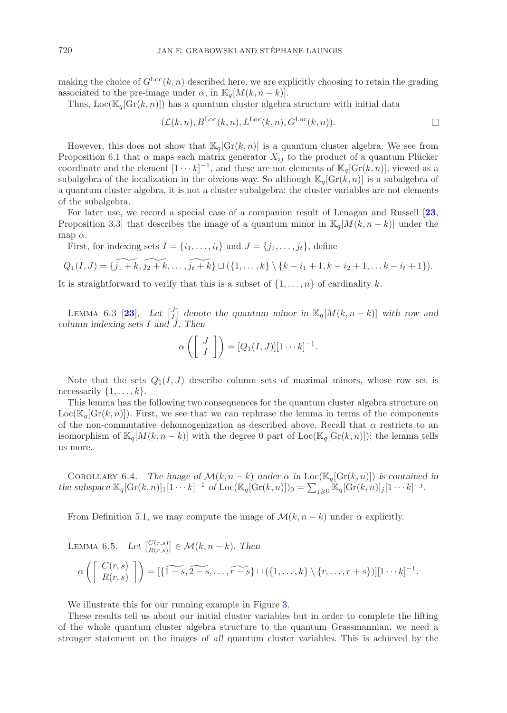making the choice of  $G^{\text{Loc}}(k, n)$  described here, we are explicitly choosing to retain the grading associated to the pre-image under  $\alpha$ , in  $\mathbb{K}_q[M(k, n-k)].$ 

Thus,  $Loc(K_q[Gr(k, n)])$  has a quantum cluster algebra structure with initial data

$$
(\mathcal{L}(k,n), B^{\mathrm{Loc}}(k,n), L^{\mathrm{Loc}}(k,n), G^{\mathrm{Loc}}(k,n)). \square
$$

However, this does not show that  $\mathbb{K}_q[\text{Gr}(k,n)]$  is a quantum cluster algebra. We see from Proposition 6.1 that  $\alpha$  maps each matrix generator  $X_{ij}$  to the product of a quantum Plücker coordinate and the element  $[1 \cdots k]^{-1}$ , and these are not elements of  $\mathbb{K}_q[\text{Gr}(k,n)]$ , viewed as a subalgebra of the localization in the obvious way. So although  $\mathbb{K}_q[\text{Gr}(k,n)]$  is a subalgebra of a quantum cluster algebra, it is not a cluster subalgebra: the cluster variables are not elements of the subalgebra.

For later use, we record a special case of a companion result of Lenagan and Russell [**[23](#page-35-1)**, Proposition 3.3] that describes the image of a quantum minor in  $\mathbb{K}_q[M(k, n-k)]$  under the map  $\alpha$ .

First, for indexing sets  $I = \{i_1, \ldots, i_t\}$  and  $J = \{j_1, \ldots, j_t\}$ , define

$$
Q_1(I, J) = \{j_1 + k, j_2 + k, \ldots, j_t + k\} \sqcup (\{1, \ldots, k\} \setminus \{k - i_1 + 1, k - i_2 + 1, \ldots k - i_t + 1\}).
$$

It is straightforward to verify that this is a subset of  $\{1,\ldots,n\}$  of cardinality k.

LEMMA 6.3 [[23](#page-35-1)]. Let  $\begin{bmatrix} J \ I \end{bmatrix}$  denote the quantum minor in  $\mathbb{K}_q[M(k, n-k)]$  with row and *column indexing sets* I *and* J*. Then*

$$
\alpha\left(\left[\begin{array}{c}J\\I\end{array}\right]\right)=[Q_1(I,J)][1\cdots k]^{-1}.
$$

Note that the sets  $Q_1(I,J)$  describe column sets of maximal minors, whose row set is necessarily  $\{1,\ldots,k\}$ .

This lemma has the following two consequences for the quantum cluster algebra structure on  $Loc(\mathbb{K}_q[\text{Gr}(k,n)])$ . First, we see that we can rephrase the lemma in terms of the components of the non-commutative dehomogenization as described above. Recall that  $\alpha$  restricts to an isomorphism of  $\mathbb{K}_q[M(k, n-k)]$  with the degree 0 part of  $Loc(\mathbb{K}_q[\text{Gr}(k, n)])$ ; the lemma tells us more.

COROLLARY 6.4. *The image of*  $\mathcal{M}(k, n-k)$  *under*  $\alpha$  *in* Loc( $\mathbb{K}_q[\text{Gr}(k, n)]$ ) *is contained in the subspace*  $\mathbb{K}_q[\text{Gr}(k,n)]_1[1\cdots k]^{-1}$  *of*  $\text{Loc}(\mathbb{K}_q[\text{Gr}(k,n)])_0 = \sum_{j\geqslant 0} \mathbb{K}_q[\text{Gr}(k,n)]_j[1\cdots k]^{-j}$ .

From Definition 5.1, we may compute the image of  $\mathcal{M}(k, n-k)$  under  $\alpha$  explicitly.

LEMMA 6.5. Let 
$$
\begin{bmatrix} C(r,s) \\ R(r,s) \end{bmatrix} \in \mathcal{M}(k, n-k)
$$
. Then  
\n
$$
\alpha \left( \begin{bmatrix} C(r,s) \\ R(r,s) \end{bmatrix} \right) = [\widetilde{\{1-s, 2-s, \ldots, r-s\}} \cup (\{1, \ldots, k\} \setminus \{r, \ldots, r+s\})][1 \cdots k]^{-1}.
$$

We illustrate this for our running example in Figure [3.](#page-24-0)

These results tell us about our initial cluster variables but in order to complete the lifting of the whole quantum cluster algebra structure to the quantum Grassmannian, we need a stronger statement on the images of *all* quantum cluster variables. This is achieved by the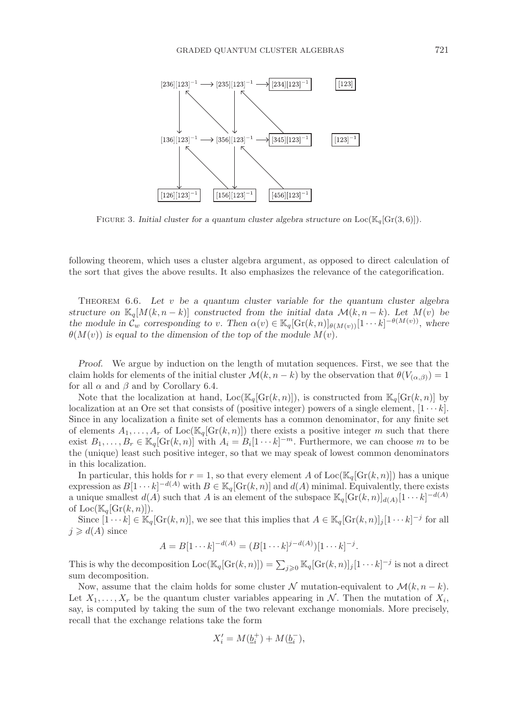

<span id="page-24-0"></span>FIGURE 3. *Initial cluster for a quantum cluster algebra structure on*  $Loc(\mathbb{K}_q[Gr(3,6)]).$ 

following theorem, which uses a cluster algebra argument, as opposed to direct calculation of the sort that gives the above results. It also emphasizes the relevance of the categorification.

Theorem 6.6. *Let* v *be a quantum cluster variable for the quantum cluster algebra structure on*  $\mathbb{K}_q[M(k, n-k)]$  *constructed from the initial data*  $\mathcal{M}(k, n-k)$ *. Let*  $M(v)$  *be the module in*  $\mathcal{C}_w$  *corresponding to v.* Then  $\alpha(v) \in \mathbb{K}_q[\text{Gr}(k,n)]_{\theta(M(v))}[1 \cdots k]^{-\theta(M(v))}$ , where  $\theta(M(v))$  is equal to the dimension of the top of the module  $M(v)$ .

*Proof.* We argue by induction on the length of mutation sequences. First, we see that the claim holds for elements of the initial cluster  $\mathcal{M}(k, n-k)$  by the observation that  $\theta(V_{(\alpha,\beta)})=1$ for all  $\alpha$  and  $\beta$  and by Corollary 6.4.

Note that the localization at hand,  $Loc(\mathbb{K}_q[\text{Gr}(k,n)])$ , is constructed from  $\mathbb{K}_q[\text{Gr}(k,n)]$  by localization at an Ore set that consists of (positive integer) powers of a single element,  $[1 \cdots k]$ . Since in any localization a finite set of elements has a common denominator, for any finite set of elements  $A_1,\ldots,A_r$  of  $\text{Loc}(\mathbb{K}_q[\text{Gr}(k,n)])$  there exists a positive integer m such that there exist  $B_1,\ldots,B_r \in \mathbb{K}_q[\text{Gr}(k,n)]$  with  $A_i = B_i[1\cdots k]^{-m}$ . Furthermore, we can choose m to be the (unique) least such positive integer, so that we may speak of lowest common denominators in this localization.

In particular, this holds for  $r = 1$ , so that every element A of Loc( $\mathbb{K}_q[\text{Gr}(k, n)]$ ) has a unique expression as  $B[1 \cdots k]^{-d(A)}$  with  $B \in \mathbb{K}_q[\text{Gr}(k,n)]$  and  $d(A)$  minimal. Equivalently, there exists a unique smallest  $d(A)$  such that A is an element of the subspace  $\mathbb{K}_q[\text{Gr}(k,n)]_{d(A)}[1\cdots k]^{-d(A)}$ of  $Loc(\mathbb{K}_q[\operatorname{Gr}(k,n)]).$ 

Since  $[\overline{1} \cdots k] \in \mathbb{K}_q[\text{Gr}(k,n)]$ , we see that this implies that  $A \in \mathbb{K}_q[\text{Gr}(k,n)]_j[1 \cdots k]^{-j}$  for all  $j \ge d(A)$  since

$$
A = B[1 \cdots k]^{-d(A)} = (B[1 \cdots k]^{j-d(A)})[1 \cdots k]^{-j}.
$$

This is why the decomposition  $\text{Loc}(\mathbb{K}_q[\text{Gr}(k,n)]) = \sum_{j\geqslant 0} \mathbb{K}_q[\text{Gr}(k,n)]_j[1\cdots k]^{-j}$  is not a direct sum decomposition.

Now, assume that the claim holds for some cluster N mutation-equivalent to  $\mathcal{M}(k, n - k)$ . Let  $X_1,\ldots,X_r$  be the quantum cluster variables appearing in N. Then the mutation of  $X_i$ , say, is computed by taking the sum of the two relevant exchange monomials. More precisely, recall that the exchange relations take the form

$$
X_i' = M(\underline{b}_i^+) + M(\underline{b}_i^-),
$$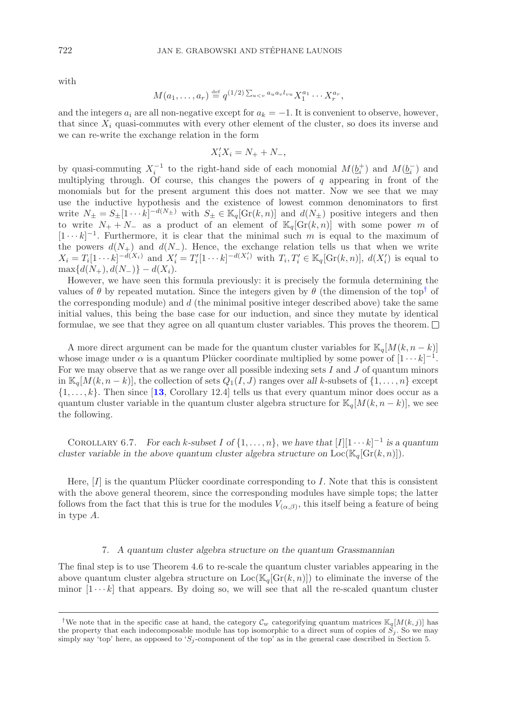with

$$
M(a_1,\ldots,a_r) \stackrel{\text{def}}{=} q^{(1/2)\sum_{u
$$

and the integers  $a_i$  are all non-negative except for  $a_k = -1$ . It is convenient to observe, however, that since  $X_i$  quasi-commutes with every other element of the cluster, so does its inverse and we can re-write the exchange relation in the form

$$
X_i' X_i = N_+ + N_-,
$$

by quasi-commuting  $X_i^{-1}$  to the right-hand side of each monomial  $M(\underline{b}_i^+)$  and  $M(\underline{b}_i^-)$  and multiplying through. Of course, this changes the powers of  $q$  appearing in front of the monomials but for the present argument this does not matter. Now we see that we may use the inductive hypothesis and the existence of lowest common denominators to first write  $N_{\pm} = S_{\pm} [1 \cdots k]^{-d(N_{\pm})}$  with  $S_{\pm} \in \mathbb{K}_q[\text{Gr}(k,n)]$  and  $d(N_{\pm})$  positive integers and then to write  $N_+ + N_-$  as a product of an element of  $\mathbb{K}_q[\text{Gr}(k,n)]$  with some power m of  $[1 \cdots k]^{-1}$ . Furthermore, it is clear that the minimal such m is equal to the maximum of the powers  $d(N_+)$  and  $d(N_-)$ . Hence, the exchange relation tells us that when we write  $X_i = T_i[1 \cdots k]^{-d(X_i)}$  and  $X'_i = T'_i[1 \cdots k]^{-d(X'_i)}$  with  $T_i, T'_i \in \mathbb{K}_q[\text{Gr}(k, n)], d(X'_i)$  is equal to  $\max\{d(N_+), d(N_-)\} - d(X_i).$ 

However, we have seen this formula previously: it is precisely the formula determining the values of  $\theta$  by repeated mutation. Since the integers given by  $\theta$  (the dimension of the top<sup>[†](#page-25-0)</sup> of the corresponding module) and  $d$  (the minimal positive integer described above) take the same initial values, this being the base case for our induction, and since they mutate by identical formulae, we see that they agree on all quantum cluster variables. This proves the theorem.  $\Box$ 

A more direct argument can be made for the quantum cluster variables for  $\mathbb{K}_q[M(k, n-k)]$ whose image under  $\alpha$  is a quantum Plücker coordinate multiplied by some power of  $[1 \cdots k]^{-1}$ . For we may observe that as we range over all possible indexing sets  $I$  and  $J$  of quantum minors in  $\mathbb{K}_q[M(k, n-k)]$ , the collection of sets  $Q_1(I, J)$  ranges over all k-subsets of  $\{1, \ldots, n\}$  except  $\{1,\ldots,k\}$ . Then since [[13](#page-34-5), Corollary 12.4] tells us that every quantum minor does occur as a quantum cluster variable in the quantum cluster algebra structure for  $\mathbb{K}_q[M(k, n-k)]$ , we see the following.

COROLLARY 6.7. *For each k-subset* I of  $\{1, \ldots, n\}$ , we have that  $[I][1 \cdots k]^{-1}$  is a quantum *cluster variable in the above quantum cluster algebra structure on*  $Loc(\mathbb{K}_q[\text{Gr}(k, n)])$ *.* 

Here,  $[I]$  is the quantum Plücker coordinate corresponding to I. Note that this is consistent with the above general theorem, since the corresponding modules have simple tops; the latter follows from the fact that this is true for the modules  $V_{(\alpha,\beta)}$ , this itself being a feature of being in type A.

#### 7. *A quantum cluster algebra structure on the quantum Grassmannian*

The final step is to use Theorem 4.6 to re-scale the quantum cluster variables appearing in the above quantum cluster algebra structure on  $Loc(\mathbb{K}_q[\text{Gr}(k, n)])$  to eliminate the inverse of the minor  $[1 \cdots k]$  that appears. By doing so, we will see that all the re-scaled quantum cluster

<span id="page-25-0"></span><sup>&</sup>lt;sup>†</sup>We note that in the specific case at hand, the category  $\mathcal{C}_w$  categorifying quantum matrices  $\mathbb{K}_q[M(k,j)]$  has the property that each indecomposable module has top isomorphic to a direct sum of copies of  $S_j$ . So w simply say 'top' here, as opposed to ' $S_i$ -component of the top' as in the general case described in Section 5.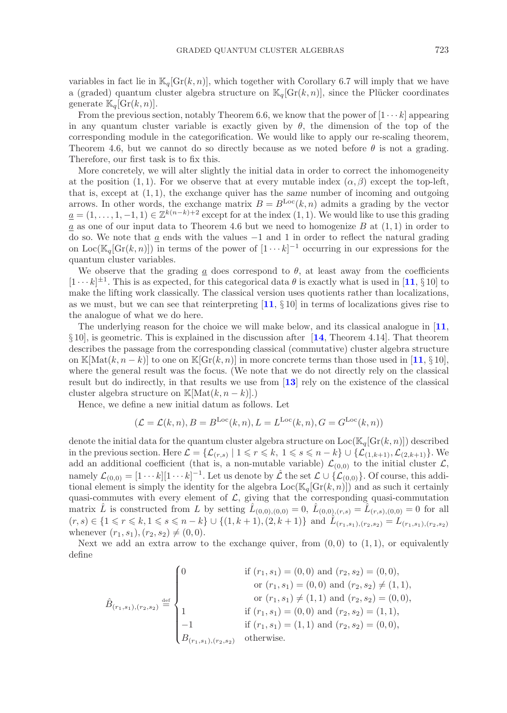variables in fact lie in  $\mathbb{K}_q[\text{Gr}(k, n)]$ , which together with Corollary 6.7 will imply that we have a (graded) quantum cluster algebra structure on  $\mathbb{K}_q[\text{Gr}(k,n)]$ , since the Plücker coordinates generate  $\mathbb{K}_q[\mathrm{Gr}(k,n)]$ .

From the previous section, notably Theorem 6.6, we know that the power of  $[1 \cdots k]$  appearing in any quantum cluster variable is exactly given by  $\theta$ , the dimension of the top of the corresponding module in the categorification. We would like to apply our re-scaling theorem, Theorem 4.6, but we cannot do so directly because as we noted before  $\theta$  is not a grading. Therefore, our first task is to fix this.

More concretely, we will alter slightly the initial data in order to correct the inhomogeneity at the position (1, 1). For we observe that at every mutable index  $(\alpha, \beta)$  except the top-left, that is, except at (1, 1), the exchange quiver has the *same* number of incoming and outgoing arrows. In other words, the exchange matrix  $B = B^{\text{Loc}}(k, n)$  admits a grading by the vector  $a = (1, \ldots, 1, -1, 1) \in \mathbb{Z}^{k(n-k)+2}$  except for at the index  $(1, 1)$ . We would like to use this grading a as one of our input data to Theorem 4.6 but we need to homogenize  $B$  at  $(1,1)$  in order to do so. We note that  $\underline{a}$  ends with the values  $-1$  and 1 in order to reflect the natural grading on Loc( $\mathbb{K}_q[\mathrm{Gr}(k,n)]$ ) in terms of the power of  $[1 \cdots k]^{-1}$  occurring in our expressions for the quantum cluster variables.

We observe that the grading a does correspond to  $\theta$ , at least away from the coefficients  $[1 \cdots k]^{\pm 1}$ . This is as expected, for this categorical data  $\theta$  is exactly what is used in [[11](#page-34-3), § 10] to make the lifting work classically. The classical version uses quotients rather than localizations, as we must, but we can see that reinterpreting  $\begin{bmatrix} 11, \S 10 \end{bmatrix}$  $\begin{bmatrix} 11, \S 10 \end{bmatrix}$  $\begin{bmatrix} 11, \S 10 \end{bmatrix}$  in terms of localizations gives rise to the analogue of what we do here.

The underlying reason for the choice we will make below, and its classical analogue in [**[11](#page-34-3)**, § 10], is geometric. This is explained in the discussion after [**[14](#page-34-11)**, Theorem 4.14]. That theorem describes the passage from the corresponding classical (commutative) cluster algebra structure on K[Mat(k, n − k)] to one on K[Gr(k, n)] in more concrete terms than those used in [[11](#page-34-3), § 10], where the general result was the focus. (We note that we do not directly rely on the classical result but do indirectly, in that results we use from [**[13](#page-34-5)**] rely on the existence of the classical cluster algebra structure on K[Mat $(k, n - k)$ ].)

Hence, we define a new initial datum as follows. Let

$$
(\mathcal{L} = \mathcal{L}(k, n), B = B^{\text{Loc}}(k, n), L = L^{\text{Loc}}(k, n), G = G^{\text{Loc}}(k, n))
$$

denote the initial data for the quantum cluster algebra structure on  $Loc(K_q[Gr(k, n)])$  described in the previous section. Here  $\mathcal{L} = \{ \mathcal{L}_{(r,s)} \mid 1 \leqslant r \leqslant k, 1 \leqslant s \leqslant n-k \} \cup \{ \mathcal{L}_{(1,k+1)}, \mathcal{L}_{(2,k+1)} \}$ . We add an additional coefficient (that is, a non-mutable variable)  $\mathcal{L}_{(0,0)}$  to the initial cluster  $\mathcal{L}$ , namely  $\mathcal{L}_{(0,0)} = [1 \cdots k] [1 \cdots k]^{-1}$ . Let us denote by  $\hat{\mathcal{L}}$  the set  $\mathcal{L} \cup {\mathcal{L}_{(0,0)}}$ . Of course, this additional element is simply the identity for the algebra  $Loc(\mathbb{K}_q[\text{Gr}(k, n)])$  and as such it certainly quasi-commutes with every element of  $\mathcal{L}$ , giving that the corresponding quasi-commutation matrix L is constructed from L by setting  $L_{(0,0),(0,0)} = 0$ ,  $L_{(0,0),(r,s)} = L_{(r,s),(0,0)} = 0$  for all  $(r, s) \in \{1 \leq r \leq k, 1 \leq s \leq n-k\} \cup \{(1, k+1), (2, k+1)\}\$ and  $\hat{L}_{(r_1, s_1), (r_2, s_2)} = L_{(r_1, s_1), (r_2, s_2)}$ whenever  $(r_1, s_1), (r_2, s_2) \neq (0, 0)$ .

Next we add an extra arrow to the exchange quiver, from  $(0,0)$  to  $(1,1)$ , or equivalently define

$$
\hat{B}_{(r_1,s_1),(r_2,s_2)} \stackrel{\text{def}}{=} \begin{cases}\n0 & \text{if } (r_1,s_1) = (0,0) \text{ and } (r_2,s_2) = (0,0), \\
& \text{or } (r_1,s_1) = (0,0) \text{ and } (r_2,s_2) \neq (1,1), \\
& \text{or } (r_1,s_1) \neq (1,1) \text{ and } (r_2,s_2) = (0,0), \\
1 & \text{if } (r_1,s_1) = (0,0) \text{ and } (r_2,s_2) = (1,1), \\
-1 & \text{if } (r_1,s_1) = (1,1) \text{ and } (r_2,s_2) = (0,0), \\
B_{(r_1,s_1),(r_2,s_2)} & \text{otherwise.}\n\end{cases}
$$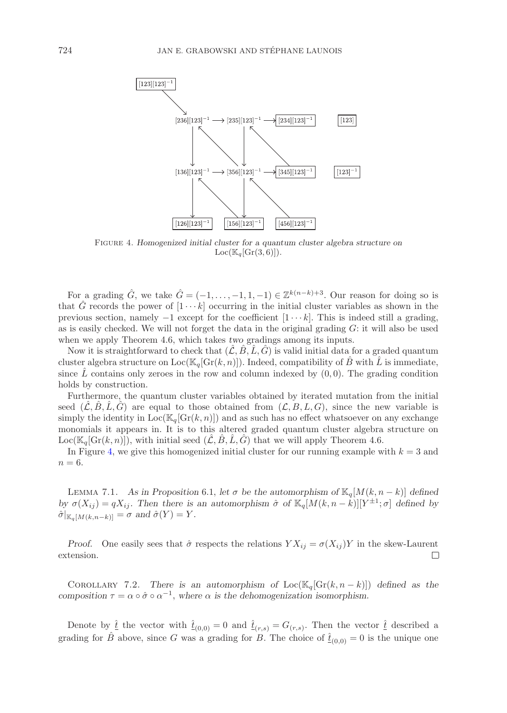

<span id="page-27-0"></span>Figure 4. *Homogenized initial cluster for a quantum cluster algebra structure on*  $Loc(\mathbb{K}_q[\text{Gr}(3,6)]).$ 

For a grading  $\hat{G}$ , we take  $\hat{G} = (-1, \ldots, -1, 1, -1) \in \mathbb{Z}^{k(n-k)+3}$ . Our reason for doing so is that G records the power of  $[1 \cdots k]$  occurring in the initial cluster variables as shown in the previous section, namely  $-1$  except for the coefficient  $[1 \cdots k]$ . This is indeed still a grading, as is easily checked. We will not forget the data in the original grading  $G$ : it will also be used when we apply Theorem 4.6, which takes *two* gradings among its inputs.

Now it is straightforward to check that  $(\hat{\mathcal{L}}, \hat{B}, \hat{L}, \hat{G})$  is valid initial data for a graded quantum cluster algebra structure on  $Loc(\mathbb{K}_q[\text{Gr}(k, n)])$ . Indeed, compatibility of B with L is immediate, since L contains only zeroes in the row and column indexed by  $(0, 0)$ . The grading condition holds by construction.

Furthermore, the quantum cluster variables obtained by iterated mutation from the initial seed  $(\mathcal{L}, \mathcal{B}, \mathcal{L}, \mathcal{G})$  are equal to those obtained from  $(\mathcal{L}, \mathcal{B}, \mathcal{L}, \mathcal{G})$ , since the new variable is simply the identity in  $Loc(K_q[\text{Gr}(k, n)])$  and as such has no effect whatsoever on any exchange monomials it appears in. It is to this altered graded quantum cluster algebra structure on  $Loc(\mathbb{K}_q[\text{Gr}(k,n)])$ , with initial seed  $(\mathcal{L}, B, L, G)$  that we will apply Theorem 4.6.

In Figure [4,](#page-27-0) we give this homogenized initial cluster for our running example with  $k = 3$  and  $n=6$ .

LEMMA 7.1. As in Proposition 6.1, let  $\sigma$  be the automorphism of  $\mathbb{K}_q[M(k, n-k)]$  defined *by*  $\sigma(X_{ij}) = qX_{ij}$ . Then there is an automorphism  $\hat{\sigma}$  of  $\mathbb{K}_q[M(k, n-k)][\hat{Y}^{\pm 1}; \sigma]$  defined by  $\hat{\sigma}|_{\mathbb{K}_q[M(k,n-k)]} = \sigma$  and  $\hat{\sigma}(Y) = Y$ .

*Proof.* One easily sees that  $\hat{\sigma}$  respects the relations  $Y X_{ij} = \sigma(X_{ij}) Y$  in the skew-Laurent extension.  $\Box$ 

COROLLARY 7.2. *There is an automorphism of*  $Loc(\mathbb{K}_q[\text{Gr}(k, n-k)])$  *defined as the composition*  $\tau = \alpha \circ \hat{\sigma} \circ \alpha^{-1}$ , where  $\alpha$  is the dehomogenization isomorphism.

Denote by  $\hat{t}$  the vector with  $\hat{t}_{(0,0)} = 0$  and  $\hat{t}_{(r,s)} = G_{(r,s)}$ . Then the vector  $\hat{t}$  described a grading for  $\hat{B}$  above, since G was a grading for B. The choice of  $\hat{t}_{(0,0)} = 0$  is the unique one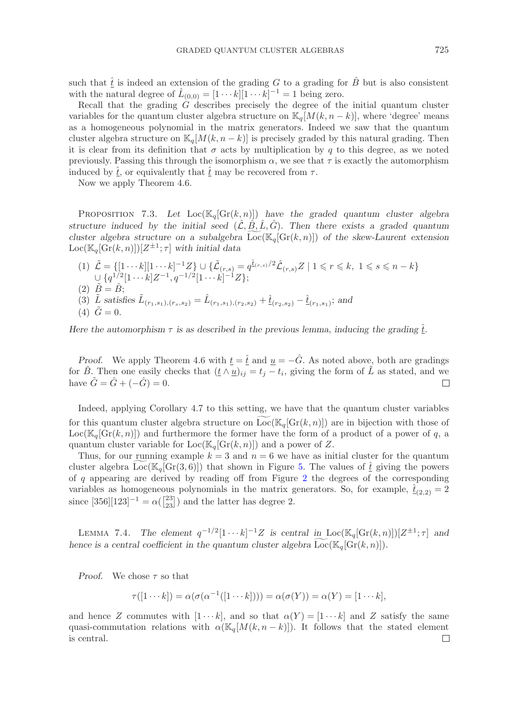such that  $\hat{t}$  is indeed an extension of the grading G to a grading for  $\hat{B}$  but is also consistent with the natural degree of  $\hat{L}_{(0,0)} = [1 \cdots k][1 \cdots k]^{-1} = 1$  being zero.

Recall that the grading G describes precisely the degree of the initial quantum cluster variables for the quantum cluster algebra structure on  $\mathbb{K}_q[M(k, n-k)]$ , where 'degree' means as a homogeneous polynomial in the matrix generators. Indeed we saw that the quantum cluster algebra structure on  $\mathbb{K}_q[M(k, n - k)]$  is precisely graded by this natural grading. Then it is clear from its definition that  $\sigma$  acts by multiplication by q to this degree, as we noted previously. Passing this through the isomorphism  $\alpha$ , we see that  $\tau$  is exactly the automorphism induced by  $\hat{t}$ , or equivalently that  $\hat{t}$  may be recovered from  $\tau$ .

Now we apply Theorem 4.6.

PROPOSITION 7.3. Let  $Loc(K_q[\text{Gr}(k, n)])$  have the graded quantum cluster algebra *structure induced by the initial seed*  $(\hat{\mathcal{L}}, \hat{\mathcal{B}}, \hat{\mathcal{L}}, \hat{\mathcal{G}})$ . Then there exists a graded quantum *cluster algebra structure on a subalgebra*  $\text{Loc}(\mathbb{K}_q[\text{Gr}(k,n)])$  *of the skew-Laurent extension*  $Loc(\mathbb{K}_q[\text{Gr}(k, n)])[Z^{\pm 1}; \tau]$  with initial data

(1)  $\tilde{\mathcal{L}} = \{ [1 \cdots k] [1 \cdots k]^{-1} Z \} \cup \{ \tilde{\mathcal{L}}_{(r,s)} = q^{\hat{t}_{(r,s)}/2} \hat{\mathcal{L}}_{(r,s)} Z \mid 1 \leqslant r \leqslant k, 1 \leqslant s \leqslant n-k \}$  $\cup \, \{ q^{1/2} [1 \cdots k] Z^{-1} , q^{-1/2} [1 \cdots k]^{-1} Z \} ;$  $(2) \tilde{B} = \hat{B}$ ; (3)  $\tilde{L}$  *satisfies*  $\tilde{L}_{(r_1,s_1),(r_s,s_2)} = \hat{L}_{(r_1,s_1),(r_2,s_2)} + \hat{t}_{(r_2,s_2)} - \hat{t}_{(r_1,s_1)}$ ; and  $(4) \tilde{G} = 0.$ 

*Here the automorphism*  $\tau$  *is as described in the previous lemma, inducing the grading*  $t$ *.* 

*Proof.* We apply Theorem 4.6 with  $t = \hat{t}$  and  $u = -\hat{G}$ . As noted above, both are gradings for  $\hat{B}$ . Then one easily checks that  $(\underline{t} \wedge \underline{u})_{ij} = t_j - t_i$ , giving the form of  $\tilde{L}$  as stated, and we have  $\tilde{G} = \hat{G} + (-\hat{G}) = 0.$  $\Box$ 

Indeed, applying Corollary 4.7 to this setting, we have that the quantum cluster variables for this quantum cluster algebra structure on  $Loc(K_q[Gr(k, n)])$  are in bijection with those of  $Loc(\mathbb{K}_q[\text{Gr}(k, n)])$  and furthermore the former have the form of a product of a power of q, a quantum cluster variable for  $Loc(\mathbb{K}_q[\text{Gr}(k, n)])$  and a power of Z.

Thus, for our running example  $k = 3$  and  $n = 6$  we have as initial cluster for the quantum cluster algebra Loc( $\mathbb{K}_q[\text{Gr}(3,6)]$ ) that shown in Figure [5.](#page-29-0) The values of  $\hat{t}$  giving the powers of  $q$  appearing are derived by reading off from Figure [2](#page-19-0) the degrees of the corresponding variables as homogeneous polynomials in the matrix generators. So, for example,  $\hat{t}_{(2,2)} = 2$ since  $[356][123]^{-1} = \alpha \binom{[23]}{23}$  and the latter has degree 2.

LEMMA 7.4. *The element*  $q^{-1/2}[1 \cdots k]^{-1}Z$  *is central in*  $Loc(\mathbb{K}_q[\text{Gr}(k,n)))[Z^{\pm 1}; \tau]$  *and hence is a central coefficient in the quantum cluster algebra*  $Loc(\mathbb{K}_q[\text{Gr}(k, n)])$ *.* 

*Proof.* We chose τ so that

$$
\tau([1\cdots k]) = \alpha(\sigma(\alpha^{-1}([1\cdots k]))) = \alpha(\sigma(Y)) = \alpha(Y) = [1\cdots k],
$$

and hence Z commutes with  $[1 \cdots k]$ , and so that  $\alpha(Y) = [1 \cdots k]$  and Z satisfy the same quasi-commutation relations with  $\alpha(\mathbb{K}_q[M(k, n-k)])$ . It follows that the stated element is central. $\Box$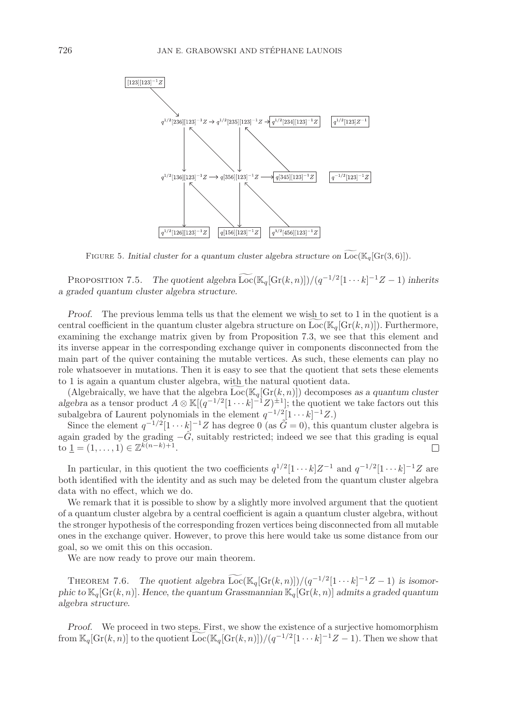

<span id="page-29-0"></span>FIGURE 5. *Initial cluster for a quantum cluster algebra structure on*  $\widetilde{\text{Loc}}(\mathbb{K}_q[\text{Gr}(3,6)]).$ 

PROPOSITION 7.5. *The quotient algebra*  $\widetilde{\text{Loc}}(\mathbb{K}_q[\text{Gr}(k,n)])/(q^{-1/2}[1\cdots k]^{-1}Z-1)$  inherits<br>creded quantum cluster algebra structure *a graded quantum cluster algebra structure.*

*Proof.* The previous lemma tells us that the element we wish to set to 1 in the quotient is a central coefficient in the quantum cluster algebra structure on  $Loc(\mathbb{K}_q[\text{Gr}(k,n)])$ . Furthermore, examining the exchange matrix given by from Proposition 7.3, we see that this element and its inverse appear in the corresponding exchange quiver in components disconnected from the main part of the quiver containing the mutable vertices. As such, these elements can play no role whatsoever in mutations. Then it is easy to see that the quotient that sets these elements to 1 is again a quantum cluster algebra, with the natural quotient data.

(Algebraically, we have that the algebra  $Loc(\mathbb{K}_q[\text{Gr}(k, n)])$  decomposes as a quantum cluster *algebra* as a tensor product  $A \otimes \mathbb{K}[(q^{-1/2}[1 \cdots k]^{-1}Z)^{\pm 1}]$ ; the quotient we take factors out this subalgebra of Laurent polynomials in the element  $q^{-1/2}[1 \cdots k]^{-1}Z$ .)

Since the element  $q^{-1/2}[1 \cdots k]^{-1}Z$  has degree 0 (as  $\tilde{G} = 0$ ), this quantum cluster algebra is again graded by the grading  $-\hat{G}$ , suitably restricted; indeed we see that this grading is equal to  $1 = (1, \ldots, 1) \in \mathbb{Z}^{k(n-k)+1}$ .  $\Box$ 

In particular, in this quotient the two coefficients  $q^{1/2}[1 \cdots k]Z^{-1}$  and  $q^{-1/2}[1 \cdots k]^{-1}Z$  are both identified with the identity and as such may be deleted from the quantum cluster algebra data with no effect, which we do.

We remark that it is possible to show by a slightly more involved argument that the quotient of a quantum cluster algebra by a central coefficient is again a quantum cluster algebra, without the stronger hypothesis of the corresponding frozen vertices being disconnected from all mutable ones in the exchange quiver. However, to prove this here would take us some distance from our goal, so we omit this on this occasion.

We are now ready to prove our main theorem.

THEOREM 7.6. *The quotient algebra*  $\widetilde{\text{Loc}}(\mathbb{K}_q[\text{Gr}(k, n)])/(q^{-1/2}[1 \cdots k]^{-1}Z - 1)$  is isomor-<br>
is to  $\mathbb{K}_r[\text{Cr}(k, n)]$ . Hence, the quotient Concernancial  $\mathbb{K}_r[\text{Cr}(k, n)]$  of mits a graded quotient *phic to*  $\mathbb{K}_q[\text{Gr}(k,n)]$ *. Hence, the quantum Grassmannian*  $\mathbb{K}_q[\text{Gr}(k,n)]$  *admits a graded quantum algebra structure.*

*Proof.* We proceed in two steps. First, we show the existence of a surjective homomorphism from  $\mathbb{K}_q[\text{Gr}(k,n)]$  to the quotient  $\widetilde{\text{Loc}}(\mathbb{K}_q[\text{Gr}(k,n)])/(q^{-1/2}[1\cdots k]^{-1}Z-1)$ . Then we show that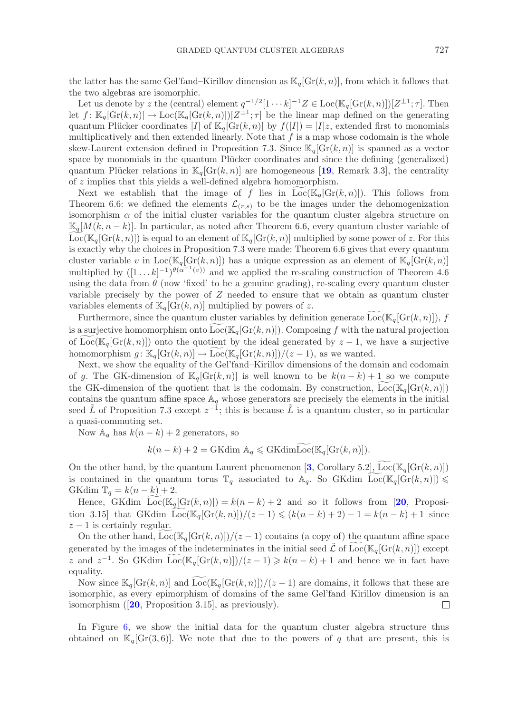the latter has the same Gel'fand–Kirillov dimension as  $\mathbb{K}_q[\text{Gr}(k, n)]$ , from which it follows that the two algebras are isomorphic.

Let us denote by z the (central) element  $q^{-1/2}[1 \cdots k]^{-1}Z \in \text{Loc}(\mathbb{K}_q[\text{Gr}(k,n)])[Z^{\pm 1}; \tau]$ . Then let  $f: \mathbb{K}_q[\text{Gr}(k,n)] \to \text{Loc}(\mathbb{K}_q[\text{Gr}(k,n)])[Z^{\pm 1}; \tau]$  be the linear map defined on the generating quantum Plücker coordinates [I] of  $\mathbb{K}_q[\text{Gr}(k, n)]$  by  $f([I]) = [I]z$ , extended first to monomials multiplicatively and then extended linearly. Note that  $f$  is a map whose codomain is the whole skew-Laurent extension defined in Proposition 7.3. Since  $\mathbb{K}_q[\text{Gr}(k,n)]$  is spanned as a vector space by monomials in the quantum Plücker coordinates and since the defining (generalized) quantum Plücker relations in  $\mathbb{K}_q[\text{Gr}(k,n)]$  are homogeneous [[19](#page-34-18), Remark 3.3], the centrality of z implies that this yields a well-defined algebra homomorphism.

Next we establish that the image of f lies in  $Loc(K_{\alpha}[Gr(k, n)])$ . This follows from Theorem 6.6: we defined the elements  $\mathcal{L}_{(r,s)}$  to be the images under the dehomogenization isomorphism  $\alpha$  of the initial cluster variables for the quantum cluster algebra structure on  $\mathbb{K}_q[M(k, n-k)]$ . In particular, as noted after Theorem 6.6, every quantum cluster variable of  $Loc(\mathbb{K}_q[Gr(k,n)])$  is equal to an element of  $\mathbb{K}_q[Gr(k,n)]$  multiplied by some power of z. For this is exactly why the choices in Proposition 7.3 were made: Theorem 6.6 gives that every quantum cluster variable v in  $Loc(\mathbb{K}_q[\text{Gr}(k,n)])$  has a unique expression as an element of  $\mathbb{K}_q[\text{Gr}(k,n)]$ multiplied by  $([1 \dots k]^{-1})^{\theta(\alpha^{-1}(v))}$  and we applied the re-scaling construction of Theorem 4.6 using the data from  $\theta$  (now 'fixed' to be a genuine grading), re-scaling every quantum cluster variable precisely by the power of  $Z$  needed to ensure that we obtain as quantum cluster variables elements of  $\mathbb{K}_q[\text{Gr}(k, n)]$  multiplied by powers of z.

Furthermore, since the quantum cluster variables by definition generate  $Loc(K_q[Gr(k, n)]), f$ is a surjective homomorphism onto  $Loc(K_q[Gr(k, n)])$ . Composing f with the natural projection of Loc( $\mathbb{K}_q[\text{Gr}(k,n)]$ ) onto the quotient by the ideal generated by  $z-1$ , we have a surjective homomorphism  $g: \mathbb{K}_q[\text{Gr}(k,n)] \to \text{Loc}(\mathbb{K}_q[\text{Gr}(k,n)])/(z-1)$ , as we wanted.

Next, we show the equality of the Gel'fand–Kirillov dimensions of the domain and codomain of g. The GK-dimension of  $\mathbb{K}_q[\text{Gr}(k,n)]$  is well known to be  $k(n-k)+1$  so we compute the GK-dimension of the quotient that is the codomain. By construction,  $Loc(K_q[Gr(k, n)])$ contains the quantum affine space  $\mathbb{A}_q$  whose generators are precisely the elements in the initial seed  $\tilde{L}$  of Proposition 7.3 except  $z^{-1}$ ; this is because  $\tilde{L}$  is a quantum cluster, so in particular a quasi-commuting set.

Now  $\mathbb{A}_q$  has  $k(n-k)+2$  generators, so

$$
k(n-k)+2 = \text{GKdim }\mathbb{A}_q \leq \text{GKdimLoc}(\mathbb{K}_q[\text{Gr}(k,n)]).
$$

On the other hand, by the quantum Laurent phenomenon [[3](#page-34-2), Corollary 5.2], Loc( $\mathbb{K}_q[\text{Gr}(k,n)]$ ) is contained in the quantum torus  $\mathbb{T}_q$  associated to  $\mathbb{A}_q$ . So GKdim  $\text{Loc}(\mathbb{K}_q[\text{Gr}(k,n)]) \leq CKL^{\text{dim}}$ GKdim  $\mathbb{T}_q = k(n-k) + 2$ .

Hence, GKdim  $\widetilde{\text{Loc}}(\mathbb{K}_q[\text{Gr}(k,n)]) = k(n-k)+2$  and so it follows from [[20](#page-35-8), Proposition 3.15] that GKdim  $\text{Loc}(\mathbb{K}_q[\text{Gr}(k,n)])/(z-1) \leq (k(n-k)+2) - 1 = k(n-k) + 1$  since  $z - 1$  is certainly regular.

On the other hand,  $Loc(K_q[\text{Gr}(k, n)])/(z - 1)$  contains (a copy of) the quantum affine space generated by the images of the indeterminates in the initial seed  $\mathcal{\tilde{L}}$  of  $Loc(\mathbb{K}_q[\text{Gr}(k,n)])$  except z and  $z^{-1}$ . So GKdim  $Loc(\mathbb{K}_q[\text{Gr}(k,n)])/(z-1) \geq k(n-k)+1$  and hence we in fact have equality.

Now since  $\mathbb{K}_q[\text{Gr}(k,n)]$  and  $\widetilde{\text{Loc}}(\mathbb{K}_q[\text{Gr}(k,n)])/(z-1)$  are domains, it follows that these are isomorphic, as every epimorphism of domains of the same Gel'fand–Kirillov dimension is an isomorphism ([**[20](#page-35-8)**, Proposition 3.15], as previously).  $\Box$ 

In Figure [6,](#page-31-0) we show the initial data for the quantum cluster algebra structure thus obtained on  $\mathbb{K}_q[Gr(3, 6)]$ . We note that due to the powers of q that are present, this is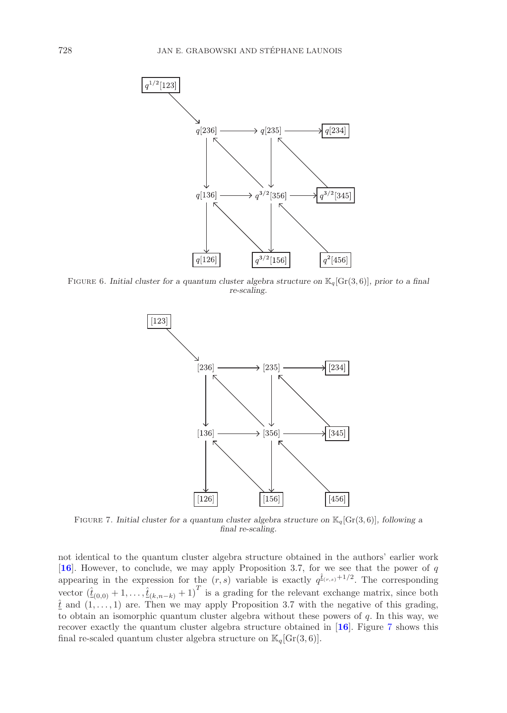

Figure 6. *Initial cluster for a quantum cluster algebra structure on* K*q*[Gr(3*,* 6)]*, prior to a final re-scaling.*

<span id="page-31-0"></span>

<span id="page-31-1"></span>FIGURE 7. *Initial cluster for a quantum cluster algebra structure on*  $\mathbb{K}_q[\text{Gr}(3,6)]$ *, following a final re-scaling.*

not identical to the quantum cluster algebra structure obtained in the authors' earlier work [**[16](#page-34-6)**]. However, to conclude, we may apply Proposition 3.7, for we see that the power of q appearing in the expression for the  $(r, s)$  variable is exactly  $q^{\hat{\tau}_{(r,s)}+1/2}$ . The corresponding vector  $(\hat{\underline{t}}_{(0,0)} + 1, \ldots, \hat{\underline{t}}_{(k,n-k)} + 1)^T$  is a grading for the relevant exchange matrix, since both  $\hat{t}$  and  $(1,\ldots,1)$  are. Then we may apply Proposition 3.7 with the negative of this grading, to obtain an isomorphic quantum cluster algebra without these powers of  $q$ . In this way, we recover exactly the quantum cluster algebra structure obtained in [**[16](#page-34-6)**]. Figure [7](#page-31-1) shows this final re-scaled quantum cluster algebra structure on  $\mathbb{K}_q[\text{Gr}(3,6)]$ .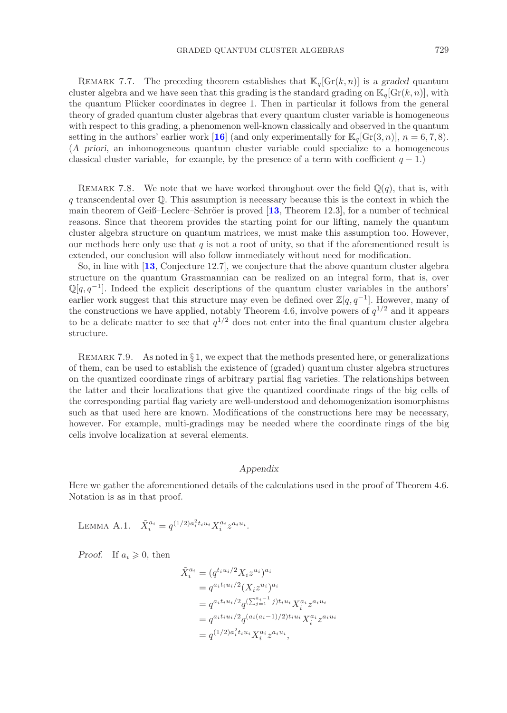REMARK 7.7. The preceding theorem establishes that  $\mathbb{K}_q[\text{Gr}(k,n)]$  is a *graded* quantum cluster algebra and we have seen that this grading is the standard grading on  $\mathbb{K}_q[\text{Gr}(k,n)]$ , with the quantum Plücker coordinates in degree 1. Then in particular it follows from the general theory of graded quantum cluster algebras that every quantum cluster variable is homogeneous with respect to this grading, a phenomenon well-known classically and observed in the quantum setting in the authors' earlier work [[16](#page-34-6)] (and only experimentally for  $\mathbb{K}_q[\text{Gr}(3, n)]$ ,  $n = 6, 7, 8$ ). (*A priori*, an inhomogeneous quantum cluster variable could specialize to a homogeneous classical cluster variable, for example, by the presence of a term with coefficient  $q - 1$ .)

REMARK 7.8. We note that we have worked throughout over the field  $\mathbb{Q}(q)$ , that is, with q transcendental over  $\mathbb{O}$ . This assumption is necessary because this is the context in which the main theorem of Geiß–Leclerc–Schröer is proved [[13](#page-34-5), Theorem 12.3], for a number of technical reasons. Since that theorem provides the starting point for our lifting, namely the quantum cluster algebra structure on quantum matrices, we must make this assumption too. However, our methods here only use that q is not a root of unity, so that if the aforementioned result is extended, our conclusion will also follow immediately without need for modification.

So, in line with [**[13](#page-34-5)**, Conjecture 12.7], we conjecture that the above quantum cluster algebra structure on the quantum Grassmannian can be realized on an integral form, that is, over  $\mathbb{Q}[q, q^{-1}]$ . Indeed the explicit descriptions of the quantum cluster variables in the authors' earlier work suggest that this structure may even be defined over  $\mathbb{Z}[q, q^{-1}]$ . However, many of the constructions we have applied, notably Theorem 4.6, involve powers of  $q^{1/2}$  and it appears to be a delicate matter to see that  $q^{1/2}$  does not enter into the final quantum cluster algebra structure.

REMARK 7.9. As noted in  $\S 1$ , we expect that the methods presented here, or generalizations of them, can be used to establish the existence of (graded) quantum cluster algebra structures on the quantized coordinate rings of arbitrary partial flag varieties. The relationships between the latter and their localizations that give the quantized coordinate rings of the big cells of the corresponding partial flag variety are well-understood and dehomogenization isomorphisms such as that used here are known. Modifications of the constructions here may be necessary, however. For example, multi-gradings may be needed where the coordinate rings of the big cells involve localization at several elements.

## *Appendix*

Here we gather the aforementioned details of the calculations used in the proof of Theorem 4.6. Notation is as in that proof.

LEMMA A.1.  $\tilde{X}_i^{a_i} = q^{(1/2)a_i^2 t_i u_i} X_i^{a_i} z^{a_i u_i}$ .

*Proof.* If  $a_i \geq 0$ , then

$$
\begin{aligned}\n\tilde{X}_i^{a_i} &= (q^{t_i u_i/2} X_i z^{u_i})^{a_i} \\
&= q^{a_i t_i u_i/2} (X_i z^{u_i})^{a_i} \\
&= q^{a_i t_i u_i/2} q^{(\sum_{j=1}^{a_i - 1} j) t_i u_i} X_i^{a_i} z^{a_i u_i} \\
&= q^{a_i t_i u_i/2} q^{(a_i (a_i - 1)/2) t_i u_i} X_i^{a_i} z^{a_i u_i} \\
&= q^{(1/2)a_i^2 t_i u_i} X_i^{a_i} z^{a_i u_i},\n\end{aligned}
$$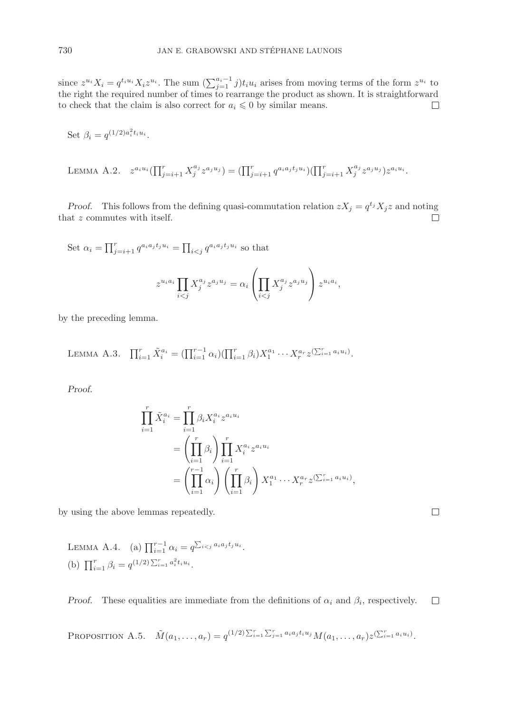since  $z^{u_i}X_i = q^{t_i u_i}X_i z^{u_i}$ . The sum  $(\sum_{j=1}^{a_i-1} j)t_i u_i$  arises from moving terms of the form  $z^{u_i}$  to the right the required number of times to rearrange the product as shown. It is straightforward  $\Box$ to check that the claim is also correct for  $a_i \leq 0$  by similar means.

Set 
$$
\beta_i = q^{(1/2)a_i^2 t_i u_i}.
$$

LEMMA A.2. 
$$
z^{a_i u_i}(\prod_{j=i+1}^r X_j^{a_j} z^{a_j u_j}) = (\prod_{j=i+1}^r q^{a_i a_j t_j u_i})(\prod_{j=i+1}^r X_j^{a_j} z^{a_j u_j}) z^{a_i u_i}.
$$

*Proof.* This follows from the defining quasi-commutation relation  $zX_j = q^{t_j}X_j z$  and noting that z commutes with itself.  $\Box$ 

Set 
$$
\alpha_i = \prod_{j=i+1}^r q^{a_i a_j t_j u_i} = \prod_{i < j} q^{a_i a_j t_j u_i}
$$
 so that  
\n
$$
z^{u_i a_i} \prod_{i < j} X_j^{a_j} z^{a_j u_j} = \alpha_i \left( \prod_{i < j} X_j^{a_j} z^{a_j u_j} \right) z^{u_i a_i},
$$

by the preceding lemma.

LEMMA A.3. 
$$
\prod_{i=1}^r \tilde{X}_i^{a_i} = (\prod_{i=1}^{r-1} \alpha_i) (\prod_{i=1}^r \beta_i) X_1^{a_1} \cdots X_r^{a_r} z^{(\sum_{i=1}^r a_i u_i)}.
$$

*Proof.*

$$
\prod_{i=1}^{r} \tilde{X}_{i}^{a_{i}} = \prod_{i=1}^{r} \beta_{i} X_{i}^{a_{i}} z^{a_{i} u_{i}} \n= \left(\prod_{i=1}^{r} \beta_{i}\right) \prod_{i=1}^{r} X_{i}^{a_{i}} z^{a_{i} u_{i}} \n= \left(\prod_{i=1}^{r-1} \alpha_{i}\right) \left(\prod_{i=1}^{r} \beta_{i}\right) X_{1}^{a_{1}} \cdots X_{r}^{a_{r}} z^{(\sum_{i=1}^{r} a_{i} u_{i})},
$$

by using the above lemmas repeatedly.

LEMMA A.4. (a) 
$$
\prod_{i=1}^{r-1} \alpha_i = q^{\sum_{i < j} a_i a_j t_j u_i}
$$
.  
\n(b)  $\prod_{i=1}^{r} \beta_i = q^{(1/2) \sum_{i=1}^{r} a_i^2 t_i u_i}$ .

*Proof.* These equalities are immediate from the definitions of  $\alpha_i$  and  $\beta_i$ , respectively.  $\Box$ 

PROPOSITION A.5.  $\tilde{M}(a_1, \ldots, a_r) = q^{(1/2)\sum_{i=1}^r \sum_{j=1}^r a_i a_j t_i u_j} M(a_1, \ldots, a_r) z^{(\sum_{i=1}^r a_i u_i)}$ .

 $\Box$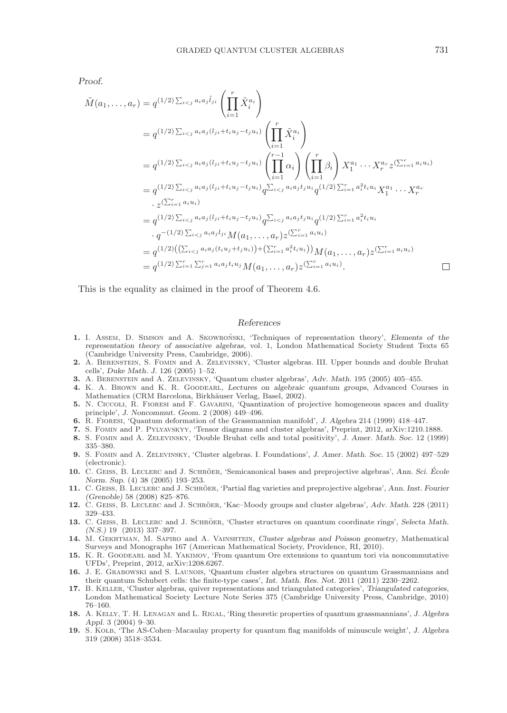*Proof.*

$$
\tilde{M}(a_{1},...,a_{r}) = q^{(1/2)\sum_{i\n
$$
= q^{(1/2)\sum_{i\n
$$
= q^{(1/2)\sum_{i\n
$$
= q^{(1/2)\sum_{i\n
$$
\cdot z^{(\sum_{i=1}^{r} a_{i}u_{i})}
$$
\n
$$
= q^{(1/2)\sum_{i\n
$$
\cdot q^{-(1/2)\sum_{i\n
$$
= q^{(1/2)\left(\left(\sum_{i\n
$$
= q^{(1/2)\sum_{i=1}^{r} \
$$
$$
$$
$$
$$
$$
$$
$$

This is the equality as claimed in the proof of Theorem 4.6.

#### *References*

- <span id="page-34-15"></span>1. I. ASSEM, D. SIMSON and A. SKOWRONSKI, 'Techniques of representation theory', *Elements of the representation theory of associative algebras*, vol. 1, London Mathematical Society Student Texts 65 (Cambridge University Press, Cambridge, 2006).
- <span id="page-34-13"></span>**2.** A. Berenstein, S. Fomin and A. Zelevinsky, 'Cluster algebras. III. Upper bounds and double Bruhat cells', *Duke Math. J.* 126 (2005) 1–52.
- <span id="page-34-2"></span>**3.** A. Berenstein and A. Zelevinsky, 'Quantum cluster algebras', *Adv. Math.* 195 (2005) 405–455.
- <span id="page-34-7"></span>**4.** K. A. Brown and K. R. Goodearl, *Lectures on algebraic quantum groups*, Advanced Courses in Mathematics (CRM Barcelona, Birkhäuser Verlag, Basel, 2002).
- <span id="page-34-9"></span>**5.** N. Ciccoli, R. Fioresi and F. Gavarini, 'Quantization of projective homogeneous spaces and duality principle', *J. Noncommut. Geom.* 2 (2008) 449–496.
- <span id="page-34-8"></span>**6.** R. Fioresi, 'Quantum deformation of the Grassmannian manifold', *J. Algebra* 214 (1999) 418–447.
- <span id="page-34-1"></span>**7.** S. Fomin and P. Pylyavskyy, 'Tensor diagrams and cluster algebras', Preprint, 2012, arXiv:1210.1888.
- <span id="page-34-16"></span>**8.** S. Fomin and A. Zelevinsky, 'Double Bruhat cells and total positivity', *J. Amer. Math. Soc.* 12 (1999) 335–380.
- <span id="page-34-0"></span>**9.** S. Fomin and A. Zelevinsky, 'Cluster algebras. I. Foundations', *J. Amer. Math. Soc.* 15 (2002) 497–529 (electronic).
- <span id="page-34-14"></span>**10.** C. GEISS, B. LECLERC and J. SCHRÖER, 'Semicanonical bases and preprojective algebras', Ann. Sci. École *Norm. Sup.* (4) 38 (2005) 193–253.
- <span id="page-34-3"></span>11. C. GEISS, B. LECLERC and J. SCHRÖER, 'Partial flag varieties and preprojective algebras', *Ann. Inst. Fourier (Grenoble)* 58 (2008) 825–876.
- <span id="page-34-17"></span>12. C. GEISS, B. LECLERC and J. SCHRÖER, 'Kac–Moody groups and cluster algebras', Adv. Math. 228 (2011) 329–433.
- <span id="page-34-5"></span>**13.** C. GEISS, B. LECLERC and J. SCHRÖER, 'Cluster structures on quantum coordinate rings', *Selecta Math. (N.S.)* 19 (2013) 337–397.
- <span id="page-34-11"></span>**14.** M. Gekhtman, M. Sapiro and A. Vainshtein, *Cluster algebras and Poisson geometry*, Mathematical Surveys and Monographs 167 (American Mathematical Society, Providence, RI, 2010).
- <span id="page-34-12"></span>**15.** K. R. Goodearl and M. Yakimov, 'From quantum Ore extensions to quantum tori via noncommutative UFDs', Preprint, 2012, arXiv:1208.6267.
- <span id="page-34-6"></span>**16.** J. E. Grabowski and S. Launois, 'Quantum cluster algebra structures on quantum Grassmannians and their quantum Schubert cells: the finite-type cases', *Int. Math. Res. Not.* 2011 (2011) 2230–2262.
- <span id="page-34-10"></span>**17.** B. Keller, 'Cluster algebras, quiver representations and triangulated categories', *Triangulated categories*, London Mathematical Society Lecture Note Series 375 (Cambridge University Press, Cambridge, 2010) 76–160.
- <span id="page-34-4"></span>**18.** A. Kelly, T. H. Lenagan and L. Rigal, 'Ring theoretic properties of quantum grassmannians', *J. Algebra Appl.* 3 (2004) 9–30.
- <span id="page-34-18"></span>**19.** S. Kolb, 'The AS-Cohen–Macaulay property for quantum flag manifolds of minuscule weight', *J. Algebra* 319 (2008) 3518–3534.